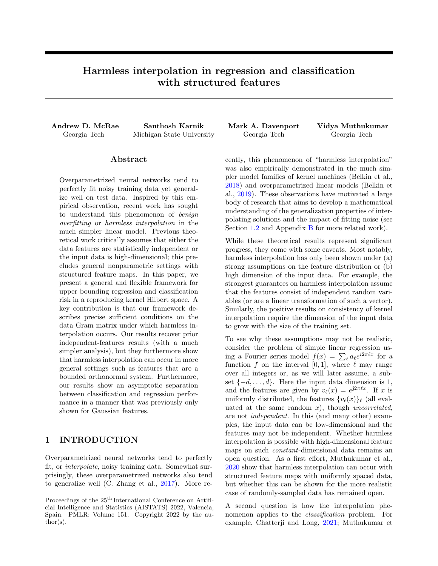# Harmless interpolation in regression and classification with structured features

Andrew D. McRae Santhosh Karnik Mark A. Davenport Vidya Muthukumar Georgia Tech Michigan State University Georgia Tech Georgia Tech

## Abstract

Overparametrized neural networks tend to perfectly fit noisy training data yet generalize well on test data. Inspired by this empirical observation, recent work has sought to understand this phenomenon of benign overfitting or harmless interpolation in the much simpler linear model. Previous theoretical work critically assumes that either the data features are statistically independent or the input data is high-dimensional; this precludes general nonparametric settings with structured feature maps. In this paper, we present a general and flexible framework for upper bounding regression and classification risk in a reproducing kernel Hilbert space. A key contribution is that our framework describes precise sufficient conditions on the data Gram matrix under which harmless interpolation occurs. Our results recover prior independent-features results (with a much simpler analysis), but they furthermore show that harmless interpolation can occur in more general settings such as features that are a bounded orthonormal system. Furthermore, our results show an asymptotic separation between classification and regression performance in a manner that was previously only shown for Gaussian features.

# 1 INTRODUCTION

Overparametrized neural networks tend to perfectly fit, or interpolate, noisy training data. Somewhat surprisingly, these overparametrized networks also tend to generalize well (C. Zhang et al., [2017\)](#page-10-0). More re-

cently, this phenomenon of "harmless interpolation" was also empirically demonstrated in the much simpler model families of kernel machines (Belkin et al., [2018\)](#page-9-0) and overparametrized linear models (Belkin et al., [2019\)](#page-9-1). These observations have motivated a large body of research that aims to develop a mathematical understanding of the generalization properties of interpolating solutions and the impact of fitting noise (see Section [1.2](#page-1-0) and Appendix [B](#page-12-0) for more related work).

While these theoretical results represent significant progress, they come with some caveats. Most notably, harmless interpolation has only been shown under (a) strong assumptions on the feature distribution or (b) high dimension of the input data. For example, the strongest guarantees on harmless interpolation assume that the features consist of independent random variables (or are a linear transformation of such a vector). Similarly, the positive results on consistency of kernel interpolation require the dimension of the input data to grow with the size of the training set.

To see why these assumptions may not be realistic, consider the problem of simple linear regression using a Fourier series model  $f(x) = \sum_{\ell} a_{\ell} e^{i2\pi \ell x}$  for a function f on the interval [0, 1], where  $\ell$  may range over all integers or, as we will later assume, a subset  $\{-d, \ldots, d\}$ . Here the input data dimension is 1, and the features are given by  $v_{\ell}(x) = e^{j2\pi \ell x}$ . If x is uniformly distributed, the features  $\{v_{\ell}(x)\}_{\ell}$  (all evaluated at the same random  $x$ ), though *uncorrelated*, are not independent. In this (and many other) examples, the input data can be low-dimensional and the features may not be independent. Whether harmless interpolation is possible with high-dimensional feature maps on such constant-dimensional data remains an open question. As a first effort, Muthukumar et al., [2020](#page-10-1) show that harmless interpolation can occur with structured feature maps with uniformly spaced data, but whether this can be shown for the more realistic case of randomly-sampled data has remained open.

A second question is how the interpolation phenomenon applies to the *classification* problem. For example, Chatterji and Long, [2021;](#page-9-2) Muthukumar et

Proceedings of the  $25^{\text{th}}$  International Conference on Artificial Intelligence and Statistics (AISTATS) 2022, Valencia, Spain. PMLR: Volume 151. Copyright 2022 by the au- $\text{thor}(s)$ .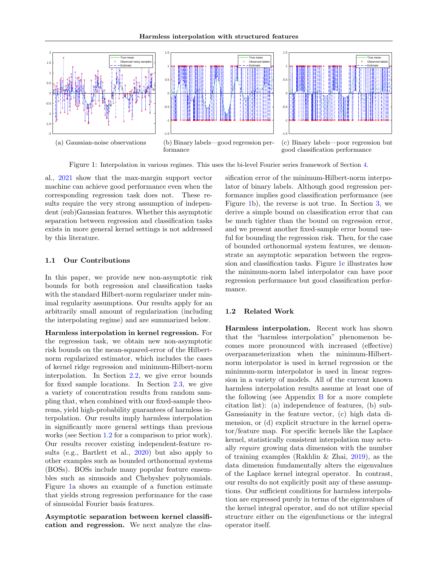<span id="page-1-1"></span>

Figure 1: Interpolation in various regimes. This uses the bi-level Fourier series framework of Section [4.](#page-8-0)

al., [2021](#page-10-2) show that the max-margin support vector machine can achieve good performance even when the corresponding regression task does not. These results require the very strong assumption of independent (sub)Gaussian features. Whether this asymptotic separation between regression and classification tasks exists in more general kernel settings is not addressed by this literature.

#### 1.1 Our Contributions

In this paper, we provide new non-asymptotic risk bounds for both regression and classification tasks with the standard Hilbert-norm regularizer under minimal regularity assumptions. Our results apply for an arbitrarily small amount of regularization (including the interpolating regime) and are summarized below.

Harmless interpolation in kernel regression. For the regression task, we obtain new non-asymptotic risk bounds on the mean-squared-error of the Hilbertnorm regularized estimator, which includes the cases of kernel ridge regression and minimum-Hilbert-norm interpolation. In Section [2.2,](#page-3-0) we give error bounds for fixed sample locations. In Section [2.3,](#page-4-0) we give a variety of concentration results from random sampling that, when combined with our fixed-sample theorems, yield high-probability guarantees of harmless interpolation. Our results imply harmless interpolation in significantly more general settings than previous works (see Section [1.2](#page-1-0) for a comparison to prior work). Our results recover existing independent-feature results (e.g., Bartlett et al., [2020\)](#page-9-3) but also apply to other examples such as bounded orthonormal systems (BOSs). BOSs include many popular feature ensembles such as sinusoids and Chebyshev polynomials. Figure [1a](#page-1-1) shows an example of a function estimate that yields strong regression performance for the case of sinusoidal Fourier basis features.

Asymptotic separation between kernel classification and regression. We next analyze the classification error of the minimum-Hilbert-norm interpolator of binary labels. Although good regression performance implies good classification performance (see Figure [1b](#page-1-1)), the reverse is not true. In Section [3,](#page-6-0) we derive a simple bound on classification error that can be much tighter than the bound on regression error, and we present another fixed-sample error bound useful for bounding the regression risk. Then, for the case of bounded orthonormal system features, we demonstrate an asymptotic separation between the regression and classification tasks. Figure [1c](#page-1-1) illustrates how the minimum-norm label interpolator can have poor regression performance but good classification performance.

#### <span id="page-1-0"></span>1.2 Related Work

Harmless interpolation. Recent work has shown that the "harmless interpolation" phenomenon becomes more pronounced with increased (effective) overparameterization when the minimum-Hilbertnorm interpolator is used in kernel regression or the minimum-norm interpolator is used in linear regression in a variety of models. All of the current known harmless interpolation results assume at least one of the following (see Appendix  $\overline{B}$  $\overline{B}$  $\overline{B}$  for a more complete citation list): (a) independence of features, (b) sub-Gaussianity in the feature vector, (c) high data dimension, or (d) explicit structure in the kernel operator/feature map. For specific kernels like the Laplace kernel, statistically consistent interpolation may actually require growing data dimension with the number of training examples (Rakhlin & Zhai, [2019\)](#page-10-3), as the data dimension fundamentally alters the eigenvalues of the Laplace kernel integral operator. In contrast, our results do not explicitly posit any of these assumptions. Our sufficient conditions for harmless interpolation are expressed purely in terms of the eigenvalues of the kernel integral operator, and do not utilize special structure either on the eigenfunctions or the integral operator itself.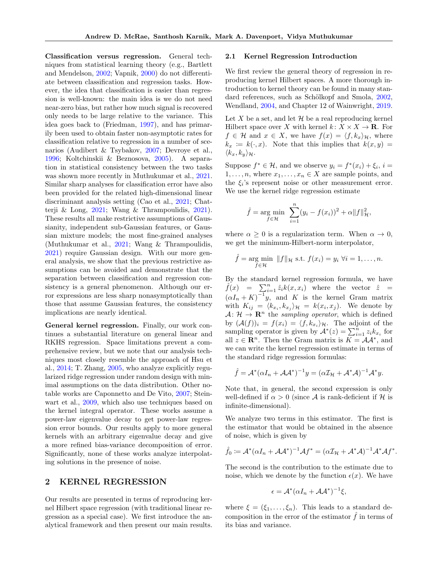Classification versus regression. General techniques from statistical learning theory (e.g., Bartlett and Mendelson, [2002;](#page-9-4) Vapnik, [2000\)](#page-10-4) do not differentiate between classification and regression tasks. However, the idea that classification is easier than regression is well-known: the main idea is we do not need near-zero bias, but rather how much signal is recovered only needs to be large relative to the variance. This idea goes back to (Friedman, [1997\)](#page-9-5), and has primarily been used to obtain faster non-asymptotic rates for classification relative to regression in a number of scenarios (Audibert & Tsybakov, [2007;](#page-9-6) Devroye et al., [1996;](#page-9-7) Koltchinskii & Beznosova, [2005\)](#page-9-8). A separation in statistical consistency between the two tasks was shown more recently in Muthukumar et al., [2021.](#page-10-2) Similar sharp analyses for classification error have also been provided for the related high-dimensional linear discriminant analysis setting (Cao et al., [2021;](#page-9-9) Chatterji & Long, [2021;](#page-9-2) Wang & Thrampoulidis, [2021\)](#page-10-5). These results all make restrictive assumptions of Gaussianity, independent sub-Gaussian features, or Gaussian mixture models; the most fine-grained analyses (Muthukumar et al., [2021;](#page-10-2) Wang & Thrampoulidis, [2021\)](#page-10-5) require Gaussian design. With our more general analysis, we show that the previous restrictive assumptions can be avoided and demonstrate that the separation between classification and regression consistency is a general phenomenon. Although our error expressions are less sharp nonasymptotically than those that assume Gaussian features, the consistency implications are nearly identical.

General kernel regression. Finally, our work continues a substantial literature on general linear and RKHS regression. Space limitations prevent a comprehensive review, but we note that our analysis techniques most closely resemble the approach of Hsu et al., [2014;](#page-9-10) T. Zhang, [2005,](#page-10-6) who analyze explicitly regularized ridge regression under random design with minimal assumptions on the data distribution. Other notable works are Caponnetto and De Vito, [2007;](#page-9-11) Steinwart et al., [2009,](#page-10-7) which also use techniques based on the kernel integral operator. These works assume a power-law eigenvalue decay to get power-law regression error bounds. Our results apply to more general kernels with an arbitrary eigenvalue decay and give a more refined bias-variance decomposition of error. Significantly, none of these works analyze interpolating solutions in the presence of noise.

# 2 KERNEL REGRESSION

Our results are presented in terms of reproducing kernel Hilbert space regression (with traditional linear regression as a special case). We first introduce the analytical framework and then present our main results.

#### 2.1 Kernel Regression Introduction

We first review the general theory of regression in reproducing kernel Hilbert spaces. A more thorough introduction to kernel theory can be found in many stan-dard references, such as Schölkopf and Smola, [2002,](#page-10-8) Wendland, [2004,](#page-10-9) and Chapter 12 of Wainwright, [2019.](#page-10-10)

Let X be a set, and let  $\mathcal H$  be a real reproducing kernel Hilbert space over X with kernel  $k: X \times X \to \mathbf{R}$ . For  $f \in \mathcal{H}$  and  $x \in X$ , we have  $f(x) = \langle f, k_x \rangle_{\mathcal{H}}$ , where  $k_x := k(\cdot, x)$ . Note that this implies that  $k(x, y) =$  $\langle k_x, k_y \rangle_{\mathcal{H}}$ .

Suppose  $f^* \in \mathcal{H}$ , and we observe  $y_i = f^*(x_i) + \xi_i$ ,  $i =$  $1, \ldots, n$ , where  $x_1, \ldots, x_n \in X$  are sample points, and the  $\xi_i$ 's represent noise or other measurement error. We use the kernel ridge regression estimate

$$
\hat{f}
$$
 = arg min  $\sum_{i=1}^{n} (y_i - f(x_i))^2 + \alpha ||f||^2_{\mathcal{H}}$ ,

where  $\alpha \geq 0$  is a regularization term. When  $\alpha \to 0$ , we get the minimum-Hilbert-norm interpolator,

$$
\hat{f} = \underset{f \in \mathcal{H}}{\arg \min} \ \|f\|_{\mathcal{H}} \text{ s.t. } f(x_i) = y_i \ \forall i = 1, \dots, n.
$$

By the standard kernel regression formula, we have  $\hat{f}(x) = \sum_{i=1}^{n} \hat{z}_i k(x, x_i)$  where the vector  $\hat{z} =$  $(\alpha I_n + K)^{-1}y$ , and K is the kernel Gram matrix with  $K_{ij} = \langle k_{x_i}, k_{x_j} \rangle_{\mathcal{H}} = k(x_i, x_j)$ . We denote by  $A: \mathcal{H} \to \mathbf{R}^n$  the sampling operator, which is defined by  $(\mathcal{A}(f))_i = f(x_i) = \langle f, k_{x_i} \rangle_{\mathcal{H}}$ . The adjoint of the sampling operator is given by  $\mathcal{A}^*(z) = \sum_{i=1}^n z_i k_{x_i}$  for all  $z \in \mathbb{R}^n$ . Then the Gram matrix is  $K = \mathcal{A} \mathcal{A}^*$ , and we can write the kernel regression estimate in terms of the standard ridge regression formulas:

$$
\hat{f} = \mathcal{A}^*(\alpha I_n + \mathcal{A}\mathcal{A}^*)^{-1}y = (\alpha \mathcal{I}_{\mathcal{H}} + \mathcal{A}^*\mathcal{A})^{-1}\mathcal{A}^*y.
$$

Note that, in general, the second expression is only well-defined if  $\alpha > 0$  (since A is rank-deficient if H is infinite-dimensional).

We analyze two terms in this estimator. The first is the estimator that would be obtained in the absence of noise, which is given by

$$
\hat{f}_0 := \mathcal{A}^*(\alpha I_n + \mathcal{A}\mathcal{A}^*)^{-1}\mathcal{A}f^* = (\alpha \mathcal{I}_{\mathcal{H}} + \mathcal{A}^*\mathcal{A})^{-1}\mathcal{A}^*\mathcal{A}f^*.
$$

The second is the contribution to the estimate due to noise, which we denote by the function  $\epsilon(x)$ . We have

$$
\epsilon = \mathcal{A}^*(\alpha I_n + \mathcal{A}\mathcal{A}^*)^{-1}\xi,
$$

where  $\xi = (\xi_1, \ldots, \xi_n)$ . This leads to a standard decomposition in the error of the estimator  $\hat{f}$  in terms of its bias and variance.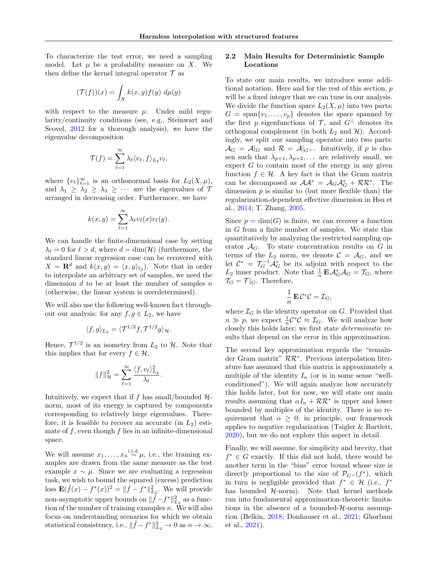To characterize the test error, we need a sampling model. Let  $\mu$  be a probability measure on X. We then define the kernel integral operator  $\mathcal T$  as

$$
(\mathcal{T}(f))(x) = \int_X k(x, y) f(y) \ d\mu(y)
$$

with respect to the measure  $\mu$ . Under mild regularity/continuity conditions (see, e.g., Steinwart and Scovel, [2012](#page-10-11) for a thorough analysis), we have the eigenvalue decomposition

$$
\mathcal{T}(f) = \sum_{\ell=1}^{\infty} \lambda_{\ell} \langle v_{\ell}, f \rangle_{L_2} v_{\ell},
$$

where  $\{v_{\ell}\}_{\ell=1}^{\infty}$  is an orthonormal basis for  $L_2(X, \mu)$ , and  $\lambda_1 \geq \lambda_2 \geq \lambda_3 \geq \cdots$  are the eigenvalues of  $\mathcal{T}$ arranged in decreasing order. Furthermore, we have

$$
k(x,y) = \sum_{\ell=1}^{\infty} \lambda_{\ell} v_{\ell}(x) v_{\ell}(y).
$$

We can handle the finite-dimensional case by setting  $\lambda_{\ell} = 0$  for  $\ell > d$ , where  $d = \dim(\mathcal{H})$  (furthermore, the standard linear regression case can be recovered with  $X = \mathbf{R}^d$  and  $k(x, y) = \langle x, y \rangle_{\ell_2}$ . Note that in order to interpolate an arbitrary set of samples, we need the dimension  $d$  to be at least the number of samples  $n$ (otherwise, the linear system is overdetermined).

We will also use the following well-known fact throughout our analysis: for any  $f, g \in L_2$ , we have

$$
\langle f, g \rangle_{L_2} = \langle \mathcal{T}^{1/2} f, \mathcal{T}^{1/2} g \rangle_{\mathcal{H}}.
$$

Hence,  $\mathcal{T}^{1/2}$  is an isometry from  $L_2$  to  $\mathcal{H}$ . Note that this implies that for every  $f \in \mathcal{H}$ ,

$$
||f||_{\mathcal{H}}^2 = \sum_{\ell=1}^{\infty} \frac{\langle f, v_{\ell} \rangle_{L_2}^2}{\lambda_{\ell}}.
$$

Intuitively, we expect that if f has small/bounded  $H$ norm, most of its energy is captured by components corresponding to relatively large eigenvalues. Therefore, it is feasible to recover an accurate (in  $L_2$ ) estimate of  $f$ , even though  $f$  lies in an infinite-dimensional space.

We will assume  $x_1, \ldots, x_n \stackrel{\text{i.i.d.}}{\sim} \mu$ , i.e., the training examples are drawn from the same measure as the test example  $x \sim \mu$ . Since we are evaluating a regression task, we wish to bound the squared (excess) prediction loss  $\mathbf{E}(\hat{f}(x) - f^*(x))^2 = ||\hat{f} - f^*||_{L_2}^2$ . We will provide non-asymptotic upper bounds on  $\|\hat{f} - f^*\|_{L_2}^2$  as a function of the number of training examples n. We will also focus on understanding scenarios for which we obtain statistical consistency, i.e.,  $\|\hat{f} - f^*\|_{L_2}^2 \to 0$  as  $n \to \infty$ .

## <span id="page-3-0"></span>2.2 Main Results for Deterministic Sample Locations

To state our main results, we introduce some additional notation. Here and for the rest of this section, p will be a fixed integer that we can tune in our analysis. We divide the function space  $L_2(X, \mu)$  into two parts:  $G = \text{span}\{v_1, \ldots, v_p\}$  denotes the space spanned by the first p eigenfunctions of  $\mathcal{T}$ , and  $G^{\perp}$  denotes its orthogonal complement (in both  $L_2$  and  $H$ ). Accordingly, we split our sampling operator into two parts:  $\mathcal{A}_G = \mathcal{A}|_G$  and  $\mathcal{R} = \mathcal{A}|_{G^{\perp}}$ . Intuitively, if p is chosen such that  $\lambda_{p+1}, \lambda_{p+2}, \ldots$  are relatively small, we expect  $G$  to contain most of the energy in any given function  $f \in \mathcal{H}$ . A key fact is that the Gram matrix can be decomposed as  $\mathcal{A}\mathcal{A}^* = \mathcal{A}_G\mathcal{A}_G^* + \mathcal{R}\mathcal{R}^*$ . The dimension  $p$  is similar to (but more flexible than) the regularization-dependent effective dimension in Hsu et al., [2014;](#page-9-10) T. Zhang, [2005.](#page-10-6)

Since  $p = \dim(G)$  is finite, we can recover a function in G from a finite number of samples. We state this quantitatively by analyzing the restricted sampling operator  $\mathcal{A}_G$ . To state concentration results on G in terms of the  $L_2$  norm, we denote  $C = \mathcal{A}_G$ , and we let  $\mathcal{C}^* = \mathcal{T}_G^{-1} \mathcal{A}_G^*$  be its adjoint with respect to the  $L_2$  inner product. Note that  $\frac{1}{n} \mathbf{E} \mathcal{A}_G^* \mathcal{A}_G = \mathcal{T}_G$ , where  $\mathcal{T}_G = \mathcal{T}|_G$ . Therefore,

$$
\frac{1}{n}\mathbf{E}\mathcal{C}^*\mathcal{C}=\mathcal{I}_G,
$$

where  $\mathcal{I}_G$  is the identity operator on G. Provided that  $n \gg p$ , we expect  $\frac{1}{n} \mathcal{C}^* \mathcal{C} \approx \mathcal{I}_G$ . We will analyze how closely this holds later; we first state deterministic results that depend on the error in this approximation.

The second key approximation regards the "remainder Gram matrix" RR<sup>∗</sup> . Previous interpolation literature has assumed that this matrix is approximately a multiple of the identity  $I_n$  (or is in some sense "wellconditioned"). We will again analyze how accurately this holds later, but for now, we will state our main results assuming that  $\alpha I_n + \mathcal{R} \mathcal{R}^*$  is upper and lower bounded by multiples of the identity. There is no requirement that  $\alpha \geq 0$ ; in principle, our framework applies to negative regularization (Tsigler & Bartlett, [2020\)](#page-10-12), but we do not explore this aspect in detail.

<span id="page-3-1"></span>Finally, we will assume, for simplicity and brevity, that  $f^* \in G$  exactly. If this did not hold, there would be another term in the "bias" error bound whose size is directly proportional to the size of  $\mathcal{P}_{G} \perp (f^*)$ , which in turn is negligible provided that  $f^* \in \mathcal{H}$  (i.e.,  $f^*$ has bounded  $H$ -norm). Note that kernel methods run into fundamental approximation-theoretic limitations in the absence of a bounded- $H$ -norm assumption (Belkin, [2018;](#page-9-12) Donhauser et al., [2021;](#page-9-13) Ghorbani et al., [2021\)](#page-9-14).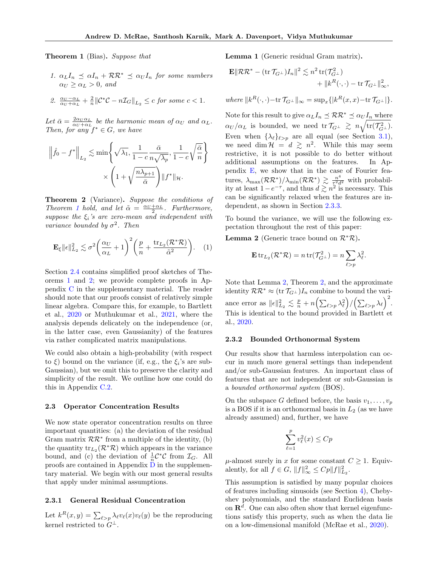Theorem 1 (Bias). Suppose that

1.  $\alpha_L I_n \preceq \alpha I_n + \mathcal{R} \mathcal{R}^* \preceq \alpha_U I_n$  for some numbers  $\alpha_U \geq \alpha_L > 0$ , and

2. 
$$
\frac{\alpha_U - \alpha_L}{\alpha_U + \alpha_L} + \frac{2}{n} ||\mathcal{C}^* \mathcal{C} - n \mathcal{I}_G||_{L_2} \leq c \text{ for some } c < 1.
$$

Let  $\bar{\alpha} = \frac{2\alpha_U \alpha_L}{\alpha_U + \alpha_L}$  be the harmonic mean of  $\alpha_U$  and  $\alpha_L$ . Then, for any  $f^* \in G$ , we have

$$
\left\|\hat{f}_0 - f^*\right\|_{L_2} \lesssim \min\left\{\sqrt{\lambda_1}, \frac{1}{1 - c} \frac{\bar{\alpha}}{n\sqrt{\lambda_p}}, \frac{1}{1 - c}\sqrt{\frac{\bar{\alpha}}{n}}\right\}
$$

$$
\times \left(1 + \sqrt{\frac{n\lambda_{p+1}}{\bar{\alpha}}}\right) \|f^*\|_{\mathcal{H}}.
$$

<span id="page-4-1"></span>Theorem 2 (Variance). Suppose the conditions of Theorem [1](#page-3-1) hold, and let  $\tilde{\alpha} = \frac{\alpha_U + \alpha_L}{2}$ . Furthermore, suppose the  $\xi_i$ 's are zero-mean and independent with variance bounded by  $\sigma^2$ . Then

$$
\mathbf{E}_{\xi} \|\epsilon\|_{L_2}^2 \lesssim \sigma^2 \bigg(\frac{\alpha_U}{\alpha_L} + 1\bigg)^2 \bigg(\frac{p}{n} + \frac{\text{tr}_{L_2}(\mathcal{R}^* \mathcal{R})}{\tilde{\alpha}^2}\bigg). \quad (1)
$$

Section [2.4](#page-5-0) contains simplified proof sketches of Theorems [1](#page-3-1) and [2;](#page-4-1) we provide complete proofs in Appendix [C](#page-12-1) in the supplementary material. The reader should note that our proofs consist of relatively simple linear algebra. Compare this, for example, to Bartlett et al., [2020](#page-9-3) or Muthukumar et al., [2021,](#page-10-2) where the analysis depends delicately on the independence (or, in the latter case, even Gaussianity) of the features via rather complicated matrix manipulations.

We could also obtain a high-probability (with respect to  $\xi$ ) bound on the variance (if, e.g., the  $\xi_i$ 's are sub-Gaussian), but we omit this to preserve the clarity and simplicity of the result. We outline how one could do this in Appendix [C.2.](#page-14-0)

#### <span id="page-4-0"></span>2.3 Operator Concentration Results

We now state operator concentration results on three important quantities: (a) the deviation of the residual Gram matrix  $\mathcal{RR}^*$  from a multiple of the identity, (b) the quantity  $\mathrm{tr}_{L_2}(\mathcal{R}^*\mathcal{R})$  which appears in the variance bound, and (c) the deviation of  $\frac{1}{n} \mathcal{C}^* \mathcal{C}$  from  $\mathcal{I}_G$ . All proofs are contained in Appendix  $\bf{D}$  $\bf{D}$  $\bf{D}$  in the supplementary material. We begin with our most general results that apply under minimal assumptions.

### 2.3.1 General Residual Concentration

<span id="page-4-3"></span>Let  $k^R(x, y) = \sum_{\ell > p} \lambda_{\ell} v_{\ell}(x) v_{\ell}(y)$  be the reproducing kernel restricted to  $G^{\perp}$ .

Lemma 1 (Generic residual Gram matrix).

$$
\mathbf{E} \|\mathcal{R}\mathcal{R}^* - (\text{tr}\,\mathcal{T}_{G^\perp})I_n\|^2 \lesssim n^2 \,\text{tr}(\mathcal{T}_{G^\perp}^2) + \|k^R(\cdot,\cdot) - \text{tr}\,\mathcal{T}_{G^\perp}\|_{\infty}^2,
$$

where  $||k^R(\cdot, \cdot)-\text{tr}\,\mathcal{T}_{G^\perp}||_{\infty} = \sup_x\{|k^R(x,x)-\text{tr}\,\mathcal{T}_{G^\perp}|\}.$ 

Note for this result to give  $\alpha_L I_n \preceq \mathcal{RR}^* \preceq \alpha_U I_n$  where  $\alpha_U/\alpha_L$  is bounded, we need tr $\mathcal{T}_{G^\perp} \ \gtrsim \ n \sqrt{\text{tr}(\mathcal{T}_{G^\perp}^2)}.$ Even when  $\{\lambda_\ell\}_{\ell > p}$  are all equal (see Section [3.1\)](#page-7-0), we need dim  $\mathcal{H} = d \geq n^2$ . While this may seem restrictive, it is not possible to do better without additional assumptions on the features. In Appendix [E,](#page-18-0) we show that in the case of Fourier features,  $\lambda_{\max}(\mathcal{RR}^*)/\lambda_{\min}(\mathcal{RR}^*) \, \gtrsim \, \frac{n^4}{\tau^2 d}$  $rac{n^2}{\tau^2 d^2}$  with probability at least  $1-e^{-\tau}$ , and thus  $d \gtrsim n^2$  is necessary. This can be significantly relaxed when the features are independent, as shown in Section [2.3.3.](#page-5-1)

To bound the variance, we will use the following expectation throughout the rest of this paper:

<span id="page-4-2"></span>**Lemma 2** (Generic trace bound on  $\mathcal{R}^*\mathcal{R}$ ).

$$
\mathbf{E} \operatorname{tr}_{L_2}(\mathcal{R}^*\mathcal{R}) = n \operatorname{tr}(\mathcal{T}_{G^\perp}^2) = n \sum_{\ell > p} \lambda_\ell^2.
$$

Note that Lemma [2,](#page-4-2) Theorem [2,](#page-4-1) and the approximate identity  $\mathcal{RR}^* \approx (\text{tr } \mathcal{T}_{G^{\perp}})I_n$  combine to bound the variance error as  $\|\epsilon\|_{L_2}^2 \lesssim \frac{p}{n} + n \Big( \sum_{\ell > p} \lambda_{\ell}^2 \Big) / \Big( \sum_{\ell > p} \lambda_{\ell} \Big)^2$ . This is identical to the bound provided in Bartlett et al., [2020.](#page-9-3)

#### 2.3.2 Bounded Orthonormal System

Our results show that harmless interpolation can occur in much more general settings than independent and/or sub-Gaussian features. An important class of features that are not independent or sub-Gaussian is a bounded orthonormal system (BOS).

On the subspace G defined before, the basis  $v_1, \ldots, v_p$ is a BOS if it is an orthonormal basis in  $L_2$  (as we have already assumed) and, further, we have

$$
\sum_{\ell=1}^p v_\ell^2(x) \leq Cp
$$

 $\mu$ -almost surely in x for some constant  $C \geq 1$ . Equivalently, for all  $f \in G$ ,  $||f||_{\infty}^2 \le Cp||f||_{L_2}^2$ .

This assumption is satisfied by many popular choices of features including sinusoids (see Section [4\)](#page-8-0), Chebyshev polynomials, and the standard Euclidean basis on  $\mathbb{R}^d$ . One can also often show that kernel eigenfunctions satisfy this property, such as when the data lie on a low-dimensional manifold (McRae et al., [2020\)](#page-10-13).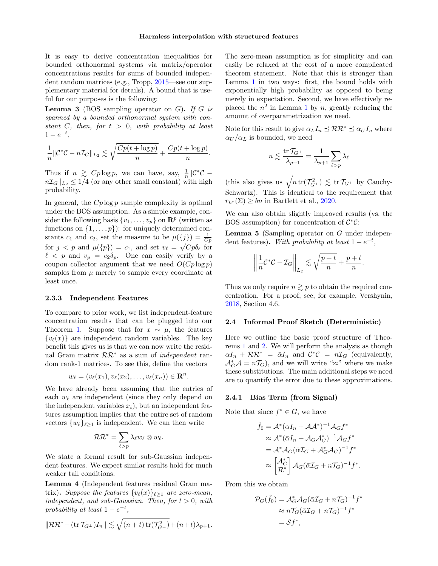It is easy to derive concentration inequalities for bounded orthonormal systems via matrix/operator concentrations results for sums of bounded independent random matrices (e.g., Tropp, [2015—](#page-10-14)see our supplementary material for details). A bound that is useful for our purposes is the following:

<span id="page-5-2"></span>**Lemma 3** (BOS sampling operator on  $G$ ). If  $G$  is spanned by a bounded orthonormal system with constant C, then, for  $t > 0$ , with probability at least  $1 - e^{-t},$ 

$$
\frac{1}{n} \|\mathcal{C}^*\mathcal{C} - n\mathcal{I}_G\|_{L_2} \lesssim \sqrt{\frac{Cp(t + \log p)}{n}} + \frac{Cp(t + \log p)}{n}.
$$

Thus if  $n \geq Cp \log p$ , we can have, say,  $\frac{1}{n} || \mathcal{C}^* \mathcal{C}$  $n\mathcal{I}_G||_{L_2} \leq 1/4$  (or any other small constant) with high probability.

In general, the  $Cp \log p$  sample complexity is optimal under the BOS assumption. As a simple example, consider the following basis  $\{v_1, \ldots, v_p\}$  on  $\mathbb{R}^p$  (written as functions on  $\{1, \ldots, p\}$ : for uniquely determined constants  $c_1$  and  $c_2$ , set the measure to be  $\mu({j}) = \frac{1}{C_p}$ for  $j < p$  and  $\mu({p}) = c_1$ , and set  $v_\ell = \sqrt{Cp}\delta_\ell$  for  $\ell \leq p$  and  $v_p = c_2 \delta_p$ . One can easily verify by a coupon collector argument that we need  $O(Cp \log p)$ samples from  $\mu$  merely to sample every coordinate at least once.

#### <span id="page-5-1"></span>2.3.3 Independent Features

To compare to prior work, we list independent-feature concentration results that can be plugged into our Theorem [1.](#page-3-1) Suppose that for  $x \sim \mu$ , the features  ${v_{\ell}(x)}$  are independent random variables. The key benefit this gives us is that we can now write the residual Gram matrix  $\mathcal{RR}^*$  as a sum of *independent* random rank-1 matrices. To see this, define the vectors

$$
w_{\ell}=(v_{\ell}(x_1),v_{\ell}(x_2),\ldots,v_{\ell}(x_n))\in \mathbf{R}^n.
$$

We have already been assuming that the entries of each  $w_{\ell}$  are independent (since they only depend on the independent variables  $x_i$ ), but an independent features assumption implies that the entire set of random vectors  $\{w_{\ell}\}_{\ell>1}$  is independent. We can then write

$$
\mathcal{RR}^*=\sum_{\ell>p}\lambda_\ell w_\ell\otimes w_\ell.
$$

We state a formal result for sub-Gaussian independent features. We expect similar results hold for much weaker tail conditions.

<span id="page-5-3"></span>Lemma 4 (Independent features residual Gram matrix). Suppose the features  $\{v_{\ell}(x)\}_{\ell>1}$  are zero-mean, independent, and sub-Gaussian. Then, for  $t > 0$ , with probability at least  $1-e^{-t}$ ,

$$
\|\mathcal{RR}^* - (\text{tr}\,\mathcal{T}_{G^\perp})I_n\| \lesssim \sqrt{(n+t)\,\text{tr}(\mathcal{T}_{G^\perp}^2)} + (n+t)\lambda_{p+1}.
$$

The zero-mean assumption is for simplicity and can easily be relaxed at the cost of a more complicated theorem statement. Note that this is stronger than Lemma [1](#page-4-3) in two ways: first, the bound holds with exponentially high probability as opposed to being merely in expectation. Second, we have effectively replaced the  $n^2$  in Lemma [1](#page-4-3) by n, greatly reducing the amount of overparametrization we need.

Note for this result to give  $\alpha_L I_n \preceq \mathcal{RR}^* \preceq \alpha_U I_n$  where  $\alpha_U/\alpha_L$  is bounded, we need

$$
n \lesssim \frac{\operatorname{tr} \mathcal{T}_{G^\perp}}{\lambda_{p+1}} = \frac{1}{\lambda_{p+1}} \sum_{\ell > p} \lambda_\ell
$$

(this also gives us  $\sqrt{n \text{ tr}(\mathcal{T}_{G}^2)} \lesssim \text{ tr } \mathcal{T}_{G}$  by Cauchy-Schwartz). This is identical to the requirement that  $r_{k^*}(\Sigma) \geq bn$  in Bartlett et al., [2020.](#page-9-3)

We can also obtain slightly improved results (vs. the BOS assumption) for concentration of  $\mathcal{C}^*\mathcal{C}$ :

Lemma 5 (Sampling operator on G under independent features). With probability at least  $1-e^{-t}$ ,

$$
\left\|\frac{1}{n}\mathcal{C}^*\mathcal{C}-\mathcal{I}_G\right\|_{L_2}\lesssim \sqrt{\frac{p+t}{n}}+\frac{p+t}{n}.
$$

Thus we only require  $n \gtrsim p$  to obtain the required concentration. For a proof, see, for example, Vershynin, [2018,](#page-10-15) Section 4.6.

#### <span id="page-5-0"></span>2.4 Informal Proof Sketch (Deterministic)

Here we outline the basic proof structure of Theorems [1](#page-3-1) and [2.](#page-4-1) We will perform the analysis as though  $\alpha I_n + \mathcal{R} \mathcal{R}^* = \bar{\alpha} I_n$  and  $\mathcal{C}^* \mathcal{C} = n \mathcal{I}_G$  (equivalently,  $\mathcal{A}_{G}^{*}\mathcal{A}=n\mathcal{T}_{G}$ , and we will write "≈" where we make these substitutions. The main additional steps we need are to quantify the error due to these approximations.

#### 2.4.1 Bias Term (from Signal)

Note that since  $f^* \in G$ , we have

$$
\hat{f}_0 = \mathcal{A}^* (\alpha I_n + \mathcal{A}\mathcal{A}^*)^{-1} \mathcal{A}_G f^*
$$
\n
$$
\approx \mathcal{A}^* (\bar{\alpha} I_n + \mathcal{A}_G \mathcal{A}_G^*)^{-1} \mathcal{A}_G f^*
$$
\n
$$
= \mathcal{A}^* \mathcal{A}_G (\bar{\alpha} \mathcal{I}_G + \mathcal{A}_G^* \mathcal{A}_G)^{-1} f^*
$$
\n
$$
\approx \begin{bmatrix} \mathcal{A}_G^* \\ \mathcal{R}^* \end{bmatrix} \mathcal{A}_G (\bar{\alpha} \mathcal{I}_G + n \mathcal{T}_G)^{-1} f^*.
$$

From this we obtain

$$
\mathcal{P}_G(\hat{f}_0) = \mathcal{A}_G^* \mathcal{A}_G (\bar{\alpha} \mathcal{I}_G + n \mathcal{T}_G)^{-1} f^*
$$
  
\n
$$
\approx n \mathcal{T}_G (\bar{\alpha} \mathcal{I}_G + n \mathcal{T}_G)^{-1} f^*
$$
  
\n
$$
= \overline{S} f^*,
$$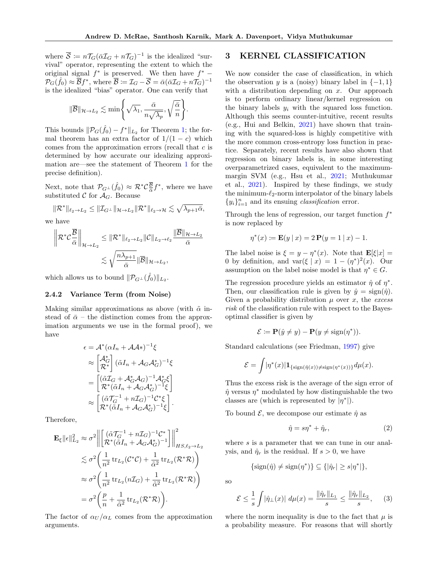where  $\overline{S} := n \mathcal{T}_G (\bar{\alpha} \mathcal{I}_G + n \mathcal{T}_G)^{-1}$  is the idealized "survival" operator, representing the extent to which the original signal  $f^*$  is preserved. We then have  $f^*$  –  $\mathcal{P}_G(\hat{f}_0) \approx \overline{\mathcal{B}} f^*,$  where  $\overline{\mathcal{B}} \coloneqq \mathcal{I}_G - \overline{\mathcal{S}} = \bar{\alpha} (\bar{\alpha} \mathcal{I}_G + n \mathcal{T}_G)^{-1}$ is the idealized "bias" operator. One can verify that

$$
\|\overline{\mathcal{B}}\|_{\mathcal{H}\to L_2}\lesssim \min\Biggl\{\sqrt{\lambda_1},\frac{\bar{\alpha}}{n\sqrt{\lambda_p}},\sqrt{\frac{\bar{\alpha}}{n}}\Biggr\}.
$$

This bounds  $\|\mathcal{P}_G(\hat{f}_0) - f^*\|_{L_2}$  for Theorem [1;](#page-3-1) the formal theorem has an extra factor of  $1/(1 - c)$  which comes from the approximation errors (recall that  $c$  is determined by how accurate our idealizing approximation are—see the statement of Theorem [1](#page-3-1) for the precise definition).

Next, note that  $\mathcal{P}_{G}(\hat{f}_0) \approx \mathcal{R}^*\mathcal{C}\frac{\overline{B}}{\overline{\alpha}}f^*$ , where we have substituted C for  $A_G$ . Because

$$
\|\mathcal{R}^*\|_{\ell_2 \to L_2} \le \|\mathcal{I}_{G^\perp}\|_{\mathcal{H} \to L_2} \|\mathcal{R}^*\|_{\ell_2 \to \mathcal{H}} \lesssim \sqrt{\lambda_{p+1} \bar{\alpha}},
$$

we have

$$
\|\mathcal{R}^*\mathcal{C}\frac{\overline{B}}{\bar{\alpha}}\|_{\mathcal{H}\to L_2} \leq \|\mathcal{R}^*\|_{\ell_2\to L_2} \|\mathcal{C}\|_{L_2\to \ell_2} \frac{\|\overline{B}\|_{\mathcal{H}\to L_2}}{\bar{\alpha}} \leq \sqrt{\frac{n\lambda_{p+1}}{\bar{\alpha}}}\|\overline{B}\|_{\mathcal{H}\to L_2},
$$

which allows us to bound  $\|\mathcal{P}_{G^{\perp}}(\hat{f}_0)\|_{L_2}$ .

#### 2.4.2 Variance Term (from Noise)

Making similar approximations as above (with  $\tilde{\alpha}$  instead of  $\bar{\alpha}$  – the distinction comes from the approximation arguments we use in the formal proof), we have

$$
\epsilon = \mathcal{A}^* (\alpha I_n + \mathcal{A}\mathcal{A}^*)^{-1} \xi
$$
  
\n
$$
\approx \left[ \begin{matrix} \mathcal{A}_G^* \\ \mathcal{R}^* \end{matrix} \right] (\tilde{\alpha} I_n + \mathcal{A}_G \mathcal{A}_G^*)^{-1} \xi
$$
  
\n
$$
= \left[ \begin{matrix} (\tilde{\alpha} \mathcal{I}_G + \mathcal{A}_G^* \mathcal{A}_G)^{-1} \mathcal{A}_G^* \xi \\ \mathcal{R}^* (\tilde{\alpha} I_n + \mathcal{A}_G \mathcal{A}_G^*)^{-1} \xi \end{matrix} \right]
$$
  
\n
$$
\approx \left[ \begin{matrix} (\tilde{\alpha} \mathcal{T}_G^{-1} + n \mathcal{I}_G)^{-1} \mathcal{C}^* \xi \\ \mathcal{R}^* (\tilde{\alpha} I_n + \mathcal{A}_G \mathcal{A}_G^*)^{-1} \xi \end{matrix} \right].
$$

Therefore,

$$
\mathbf{E}_{\xi} ||\epsilon||_{L_2}^2 \approx \sigma^2 \left\| \left[ \left( \tilde{\alpha} \mathcal{T}_G^{-1} + n \mathcal{I}_G \right)^{-1} \mathcal{C}^* \atop \mathcal{R}^*(\tilde{\alpha} I_n + \mathcal{A}_G \mathcal{A}_G^*)^{-1} \right] \right\|_{HS, \ell_2 \to L_2}^2
$$
  

$$
\lesssim \sigma^2 \left( \frac{1}{n^2} \operatorname{tr}_{L_2}(\mathcal{C}^* \mathcal{C}) + \frac{1}{\tilde{\alpha}^2} \operatorname{tr}_{L_2}(\mathcal{R}^* \mathcal{R}) \right)
$$
  

$$
\approx \sigma^2 \left( \frac{1}{n^2} \operatorname{tr}_{L_2} (n \mathcal{I}_G) + \frac{1}{\tilde{\alpha}^2} \operatorname{tr}_{L_2}(\mathcal{R}^* \mathcal{R}) \right)
$$
  

$$
= \sigma^2 \left( \frac{p}{n} + \frac{1}{\tilde{\alpha}^2} \operatorname{tr}_{L_2}(\mathcal{R}^* \mathcal{R}) \right).
$$

The factor of  $\alpha_U/\alpha_L$  comes from the approximation arguments.

# <span id="page-6-0"></span>3 KERNEL CLASSIFICATION

We now consider the case of classification, in which the observation y is a (noisy) binary label in  $\{-1, 1\}$ with a distribution depending on  $x$ . Our approach is to perform ordinary linear/kernel regression on the binary labels  $y_i$  with the squared loss function. Although this seems counter-intuitive, recent results (e.g., Hui and Belkin, [2021\)](#page-9-15) have shown that training with the squared-loss is highly competitive with the more common cross-entropy loss function in practice. Separately, recent results have also shown that regression on binary labels is, in some interesting overparametrized cases, equivalent to the maximummargin SVM (e.g., Hsu et al., [2021;](#page-9-16) Muthukumar et al., [2021\)](#page-10-2). Inspired by these findings, we study the minimum- $\ell_2$ -norm interpolator of the binary labels  ${y_i}_{i=1}^n$  and its ensuing *classification* error.

Through the lens of regression, our target function  $f^*$ is now replaced by

$$
\eta^*(x) := \mathbf{E}(y \mid x) = 2 \mathbf{P}(y = 1 \mid x) - 1.
$$

The label noise is  $\xi = y - \eta^*(x)$ . Note that  $\mathbf{E}[\xi|x] =$ 0 by definition, and  $var(\xi | x) = 1 - (\eta^*)^2(x)$ . Our assumption on the label noise model is that  $\eta^* \in G$ .

The regression procedure yields an estimator  $\hat{\eta}$  of  $\eta^*$ . Then, our classification rule is given by  $\hat{y} = \text{sign}(\hat{\eta})$ . Given a probability distribution  $\mu$  over x, the excess risk of the classification rule with respect to the Bayesoptimal classifier is given by

$$
\mathcal{E} \coloneqq \mathbf{P}(\hat{y} \neq y) - \mathbf{P}(y \neq \text{sign}(\eta^*)).
$$

Standard calculations (see Friedman, [1997\)](#page-9-5) give

$$
\mathcal{E} = \int |\eta^*(x)| \mathbf{1}_{\{\text{sign}(\hat{\eta}(x)) \neq \text{sign}(\eta^*(x))\}} d\mu(x).
$$

Thus the excess risk is the average of the sign error of  $\hat{\eta}$  versus  $\eta^*$  modulated by how distinguishable the two classes are (which is represented by  $|\eta^*|$ ).

To bound  $\mathcal{E}$ , we decompose our estimate  $\hat{\eta}$  as

<span id="page-6-1"></span>
$$
\hat{\eta} = s\eta^* + \hat{\eta}_r,\tag{2}
$$

where  $s$  is a parameter that we can tune in our analysis, and  $\hat{\eta}_r$  is the residual. If  $s > 0$ , we have

$$
\{\operatorname{sign}(\hat{\eta}) \neq \operatorname{sign}(\eta^*)\} \subseteq \{|\hat{\eta}_r| \geq s|\eta^*|\},
$$

so

<span id="page-6-2"></span>
$$
\mathcal{E} \le \frac{1}{s} \int |\hat{\eta}_\perp(x)| \ d\mu(x) = \frac{\|\hat{\eta}_r\|_{L_1}}{s} \le \frac{\|\hat{\eta}_r\|_{L_2}}{s},\qquad(3)
$$

where the norm inequality is due to the fact that  $\mu$  is a probability measure. For reasons that will shortly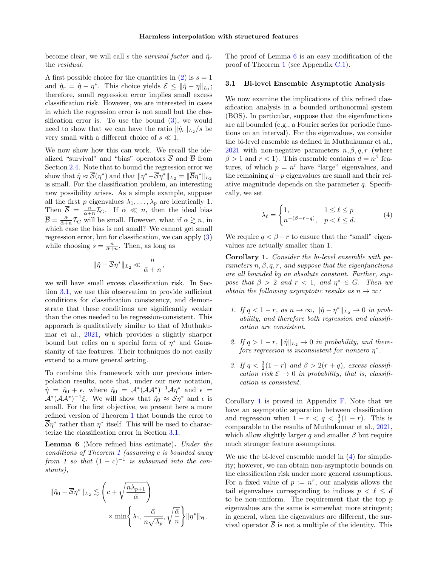become clear, we will call s the survival factor and  $\hat{\eta}_r$ the residual.

A first possible choice for the quantities in  $(2)$  is  $s = 1$ and  $\hat{\eta}_r = \hat{\eta} - \eta^*$ . This choice yields  $\mathcal{E} \leq ||\hat{\eta} - \eta||_{L_1};$ therefore, small regression error implies small excess classification risk. However, we are interested in cases in which the regression error is not small but the classification error is. To use the bound  $(3)$ , we would need to show that we can have the ratio  $\|\hat{\eta}_r\|_{L_2}/s$  be very small with a different choice of  $s \ll 1$ .

We now show how this can work. We recall the idealized "survival" and "bias" operators  $\overline{S}$  and  $\overline{B}$  from Section [2.4.](#page-5-0) Note that to bound the regression error we show that  $\hat{\eta} \approx \overline{\mathcal{S}}(\eta^*)$  and that  $\|\eta^*-\overline{\mathcal{S}}\eta^*\|_{L_2} = \|\overline{\mathcal{B}}\eta^*\|_{L_2}$ is small. For the classification problem, an interesting new possibility arises. As a simple example, suppose all the first p eigenvalues  $\lambda_1, \ldots, \lambda_p$  are identically 1. Then  $\overline{S} = \frac{n}{\overline{\alpha}+n} \mathcal{I}_G$ . If  $\overline{\alpha} \ll n$ , then the ideal bias  $\overline{\mathcal{B}} = \frac{\bar{\alpha}}{\bar{\alpha} + n} \mathcal{I}_G$  will be small. However, what if  $\alpha \gtrsim n$ , in which case the bias is not small? We cannot get small regression error, but for classification, we can apply [\(3\)](#page-6-2) while choosing  $s = \frac{n}{\bar{\alpha}+n}$ . Then, as long as

$$
\|\hat{\eta} - \overline{\mathcal{S}}\eta^*\|_{L_2} \ll \frac{n}{\bar{\alpha} + n},
$$

we will have small excess classification risk. In Section [3.1,](#page-7-0) we use this observation to provide sufficient conditions for classification consistency, and demonstrate that these conditions are significantly weaker than the ones needed to be regression-consistent. This apporach is qualitatively similar to that of Muthukumar et al., [2021,](#page-10-2) which provides a slightly sharper bound but relies on a special form of  $\eta^*$  and Gaussianity of the features. Their techniques do not easily extend to a more general setting.

To combine this framework with our previous interpolation results, note that, under our new notation,  $\hat{\eta} = \hat{\eta}_0 + \epsilon$ , where  $\hat{\eta}_0 = A^* (A A^*)^{-1} A \eta^*$  and  $\epsilon =$  $\mathcal{A}^*(\mathcal{A}\mathcal{A}^*)^{-1}\xi$ . We will show that  $\hat{\eta}_0 \approx \overline{\mathcal{S}}\eta^*$  and  $\epsilon$  is small. For the first objective, we present here a more refined version of Theorem [1](#page-3-1) that bounds the error to  $\overline{\mathcal{S}}\eta^*$  rather than  $\eta^*$  itself. This will be used to characterize the classification error in Section [3.1.](#page-7-0)

<span id="page-7-1"></span>Lemma 6 (More refined bias estimate). Under the conditions of Theorem [1](#page-3-1) (assuming c is bounded away from 1 so that  $(1 - c)^{-1}$  is subsumed into the constants),

$$
\begin{aligned} \|\hat{\eta}_0 - \overline{\mathcal{S}}\eta^*\|_{L_2} &\lesssim \left(c + \sqrt{\frac{n\lambda_{p+1}}{\bar{\alpha}}}\right) \\ &\times \min\left\{\lambda_1, \frac{\bar{\alpha}}{n\sqrt{\lambda_p}}, \sqrt{\frac{\bar{\alpha}}{n}}\right\} \|\eta^*\|_{\mathcal{H}}. \end{aligned}
$$

The proof of Lemma [6](#page-7-1) is an easy modification of the proof of Theorem [1](#page-3-1) (see Appendix [C.1\)](#page-12-2).

### <span id="page-7-0"></span>3.1 Bi-level Ensemble Asymptotic Analysis

We now examine the implications of this refined classification analysis in a bounded orthonormal system (BOS). In particular, suppose that the eigenfunctions are all bounded (e.g., a Fourier series for periodic functions on an interval). For the eigenvalues, we consider the bi-level ensemble as defined in Muthukumar et al., [2021](#page-10-2) with non-negative parameters  $n, \beta, q, r$  (where  $\beta > 1$  and  $r < 1$ ). This ensemble contains  $d = n^{\beta}$  features, of which  $p = n^r$  have "large" eigenvalues, and the remaining  $d-p$  eigenvalues are small and their relative magnitude depends on the parameter  $q$ . Specifically, we set

<span id="page-7-3"></span>
$$
\lambda_{\ell} = \begin{cases} 1, & 1 \le \ell \le p \\ n^{-(\beta - r - q)}, & p < \ell \le d. \end{cases}
$$
 (4)

We require  $q < \beta - r$  to ensure that the "small" eigenvalues are actually smaller than 1.

<span id="page-7-2"></span>Corollary 1. Consider the bi-level ensemble with parameters  $n, \beta, q, r$ , and suppose that the eigenfunctions are all bounded by an absolute constant. Further, suppose that  $\beta > 2$  and  $r < 1$ , and  $\eta^* \in G$ . Then we obtain the following asymptotic results as  $n \to \infty$ :

- 1. If  $q < 1-r$ , as  $n \to \infty$ ,  $\|\hat{\eta} \eta^*\|_{L_2} \to 0$  in probability, and therefore both regression and classification are consistent.
- 2. If  $q > 1 r$ ,  $\|\hat{\eta}\|_{L_2} \to 0$  in probability, and therefore regression is inconsistent for nonzero  $\eta^*$ .
- 3. If  $q < \frac{3}{2}(1-r)$  and  $\beta > 2(r+q)$ , excess classification risk  $\mathcal{E} \to 0$  in probability, that is, classification is consistent.

Corollary [1](#page-7-2) is proved in Appendix  $\overline{F}$ . Note that we have an asymptotic separation between classification and regression when  $1 - r < q < \frac{3}{2}(1 - r)$ . This is comparable to the results of Muthukumar et al., [2021,](#page-10-2) which allow slightly larger q and smaller  $\beta$  but require much stronger feature assumptions.

We use the bi-level ensemble model in [\(4\)](#page-7-3) for simplicity; however, we can obtain non-asymptotic bounds on the classification risk under more general assumptions. For a fixed value of  $p := n^r$ , our analysis allows the tail eigenvalues corresponding to indices  $p < \ell \leq d$ to be non-uniform. The requirement that the top  $p$ eigenvalues are the same is somewhat more stringent; in general, when the eigenvalues are different, the survival operator  $\overline{S}$  is not a multiple of the identity. This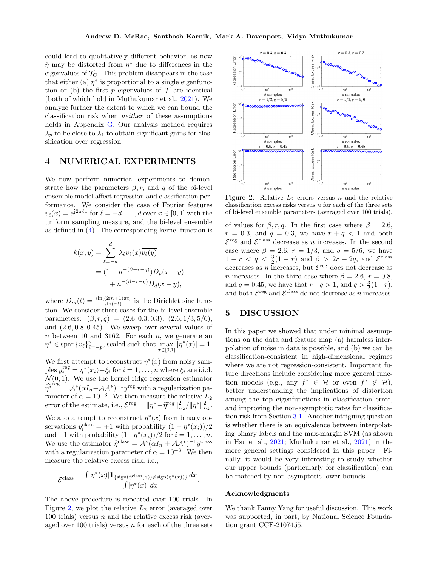could lead to qualitatively different behavior, as now  $\hat{\eta}$  may be distorted from  $\eta^*$  due to differences in the eigenvalues of  $\mathcal{T}_G$ . This problem disappears in the case that either (a)  $\eta^*$  is proportional to a single eigenfunction or (b) the first p eigenvalues of  $\mathcal T$  are identical (both of which hold in Muthukumar et al., [2021\)](#page-10-2). We analyze further the extent to which we can bound the classification risk when neither of these assumptions holds in Appendix [G.](#page-21-0) Our analysis method requires  $\lambda_p$  to be close to  $\lambda_1$  to obtain significant gains for classification over regression.

# <span id="page-8-0"></span>4 NUMERICAL EXPERIMENTS

We now perform numerical experiments to demonstrate how the parameters  $\beta$ , r, and q of the bi-level ensemble model affect regression and classification performance. We consider the case of Fourier features  $v_{\ell}(x) = e^{\mathbf{j}2\pi \ell x}$  for  $\ell = -d, \ldots, d$  over  $x \in [0, 1]$  with the uniform sampling measure, and the bi-level ensemble as defined in [\(4\)](#page-7-3). The corresponding kernel function is

$$
k(x,y) = \sum_{\ell=-d}^{d} \lambda_{\ell} v_{\ell}(x) \overline{v_{\ell}(y)}
$$
  
= 
$$
(1 - n^{-(\beta - r - q)}) D_p(x - y)
$$
  
+ 
$$
n^{-(\beta - r - q)} D_d(x - y),
$$

where  $D_m(t) = \frac{\sin[(2m+1)\pi t]}{\sin(\pi t)}$  is the Dirichlet sinc function. We consider three cases for the bi-level ensemble parameters:  $(\beta, r, q) = (2.6, 0.3, 0.3), (2.6, 1/3, 5/6),$ and (2.6, 0.8, 0.45). We sweep over several values of  $n$  between 10 and 3162. For each  $n$ , we generate an  $\eta^* \in \text{span}\{v_\ell\}_{\ell=-p}^p$ , scaled such that  $\max_{z \in [0,1]} |\eta^*(x)| = 1$ .  $x \in [0,1]$ 

We first attempt to reconstruct  $\eta^*(x)$  from noisy samples  $y_i^{\text{reg}} = \eta^*(x_i) + \xi_i$  for  $i = 1, ..., n$  where  $\xi_i$  are i.i.d.  $\mathcal{N}(0, 1)$ . We use the kernel ridge regression estimator  $\widehat{\eta^*}^{\text{reg}} = \mathcal{A}^* (\alpha I_n + \mathcal{A} \mathcal{A}^*)^{-1} y^{\text{reg}}$  with a regularization parameter of  $\alpha = 10^{-3}$ . We then measure the relative  $L_2$ error of the estimate, i.e.,  $\mathcal{E}^{\text{reg}} = ||\eta^* - \hat{\eta}^{\text{reg}}||^2_{L_2} / ||\eta^*||^2_{L_2}$ .

We also attempt to reconstruct  $\eta^*(x)$  from binary observations  $y_i^{\text{class}} = +1$  with probability  $(1 + \eta^*(x_i))/2$ and  $-1$  with probability  $(1 - \eta^*(x_i))/2$  for  $i = 1, ..., n$ . We use the estimator  $\hat{\eta}^{\text{class}} = A^*(\alpha I_n + AA^*)^{-1}y^{\text{class}}$ with a regularization parameter of  $\alpha = 10^{-3}$ . We then measure the relative excess risk, i.e.,

$$
\mathcal{E}^{\text{class}} = \frac{\int |\eta^*(x)| \mathbf{1}_{\{\text{sign}(\hat{\eta}^{\text{class}}(x)) \neq \text{sign}(\eta^*(x))\}} dx}{\int |\eta^*(x)| dx}.
$$

The above procedure is repeated over 100 trials. In Figure [2,](#page-8-1) we plot the relative  $L_2$  error (averaged over 100 trials) versus  $n$  and the relative excess risk (averaged over 100 trials) versus  $n$  for each of the three sets

<span id="page-8-1"></span>

Figure 2: Relative  $L_2$  errors versus n and the relative classification excess risks versus  $n$  for each of the three sets of bi-level ensemble parameters (averaged over 100 trials).

of values for  $\beta$ , r, q. In the first case where  $\beta = 2.6$ ,  $r = 0.3$ , and  $q = 0.3$ , we have  $r + q < 1$  and both  $\mathcal{E}^{\text{reg}}$  and  $\mathcal{E}^{\text{class}}$  decrease as *n* increases. In the second case where  $\beta = 2.6$ ,  $r = 1/3$ , and  $q = 5/6$ , we have  $1 - r < q < \frac{3}{2}(1 - r)$  and  $\beta > 2r + 2q$ , and  $\mathcal{E}^{\text{class}}$ decreases as n increases, but  $\mathcal{E}^{\text{reg}}$  does not decrease as *n* increases. In the third case where  $\beta = 2.6, r = 0.8$ , and  $q = 0.45$ , we have that  $r + q > 1$ , and  $q > \frac{3}{2}(1 - r)$ , and both  $\mathcal{E}^{\text{reg}}$  and  $\mathcal{E}^{\text{class}}$  do not decrease as n increases.

# 5 DISCUSSION

In this paper we showed that under minimal assumptions on the data and feature map (a) harmless interpolation of noise in data is possible, and (b) we can be classification-consistent in high-dimensional regimes where we are not regression-consistent. Important future directions include considering more general function models (e.g., any  $f^* \in \mathcal{H}$  or even  $f^* \notin \mathcal{H}$ ), better understanding the implications of distortion among the top eigenfunctions in classification error, and improving the non-asymptotic rates for classification risk from Section [3.1.](#page-7-0) Another intriguing question is whether there is an equivalence between interpolating binary labels and the max-margin SVM (as shown in Hsu et al., [2021;](#page-9-16) Muthukumar et al., [2021\)](#page-10-2) in the more general settings considered in this paper. Finally, it would be very interesting to study whether our upper bounds (particularly for classification) can be matched by non-asymptotic lower bounds.

#### Acknowledgments

We thank Fanny Yang for useful discussion. This work was supported, in part, by National Science Foundation grant CCF-2107455.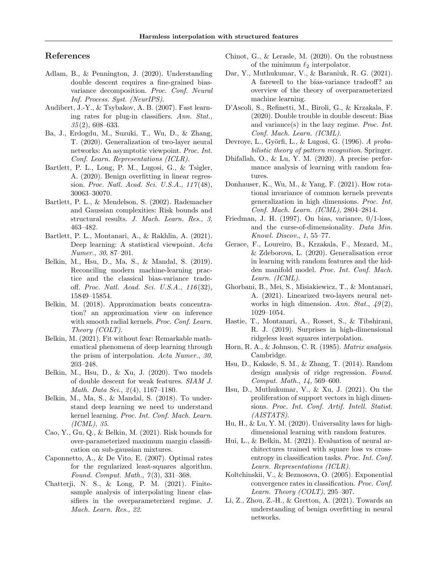# References

- <span id="page-9-17"></span>Adlam, B., & Pennington, J. (2020). Understanding double descent requires a fine-grained biasvariance decomposition. Proc. Conf. Neural Inf. Process. Syst. (NeurIPS).
- <span id="page-9-6"></span>Audibert, J.-Y., & Tsybakov, A. B. (2007). Fast learning rates for plug-in classifiers. Ann. Stat., 35 (2), 608–633.
- <span id="page-9-18"></span>Ba, J., Erdogdu, M., Suzuki, T., Wu, D., & Zhang, T. (2020). Generalization of two-layer neural networks: An asymptotic viewpoint. Proc. Int. Conf. Learn. Representations (ICLR).
- <span id="page-9-3"></span>Bartlett, P. L., Long, P. M., Lugosi, G., & Tsigler, A. (2020). Benign overfitting in linear regression. Proc. Natl. Acad. Sci. U.S.A., 117 (48), 30063–30070.
- <span id="page-9-4"></span>Bartlett, P. L., & Mendelson, S. (2002). Rademacher and Gaussian complexities: Risk bounds and structural results. J. Mach. Learn. Res., 3, 463–482.
- <span id="page-9-26"></span>Bartlett, P. L., Montanari, A., & Rakhlin, A. (2021). Deep learning: A statistical viewpoint. Acta Numer., 30, 87–201.
- <span id="page-9-1"></span>Belkin, M., Hsu, D., Ma, S., & Mandal, S. (2019). Reconciling modern machine-learning practice and the classical bias-variance tradeoff. Proc. Natl. Acad. Sci. U.S.A., 116 (32), 15849–15854.
- <span id="page-9-12"></span>Belkin, M. (2018). Approximation beats concentration? an approximation view on inference with smooth radial kernels. Proc. Conf. Learn. Theory (COLT).
- <span id="page-9-27"></span>Belkin, M. (2021). Fit without fear: Remarkable mathematical phenomena of deep learning through the prism of interpolation. Acta Numer., 30, 203–248.
- <span id="page-9-19"></span>Belkin, M., Hsu, D., & Xu, J. (2020). Two models of double descent for weak features. SIAM J. Math. Data Sci.,  $2(4)$ , 1167–1180.
- <span id="page-9-0"></span>Belkin, M., Ma, S., & Mandal, S. (2018). To understand deep learning we need to understand kernel learning. Proc. Int. Conf. Mach. Learn. (ICML), 35.
- <span id="page-9-9"></span>Cao, Y., Gu, Q., & Belkin, M. (2021). Risk bounds for over-parameterized maximum margin classification on sub-gaussian mixtures.
- <span id="page-9-11"></span>Caponnetto, A., & De Vito, E. (2007). Optimal rates for the regularized least-squares algorithm. Found. Comput. Math., 7(3), 331-368.
- <span id="page-9-2"></span>Chatterji, N. S., & Long, P. M. (2021). Finitesample analysis of interpolating linear classifiers in the overparameterized regime. J. Mach. Learn. Res., 22.
- <span id="page-9-29"></span>Chinot, G., & Lerasle, M. (2020). On the robustness of the minimum  $\ell_2$  interpolator.
- <span id="page-9-28"></span>Dar, Y., Muthukumar, V., & Baraniuk, R. G. (2021). A farewell to the bias-variance tradeoff? an overview of the theory of overparameterized machine learning.
- <span id="page-9-20"></span>D'Ascoli, S., Refinetti, M., Biroli, G., & Krzakala, F. (2020). Double trouble in double descent: Bias and variance(s) in the lazy regime. Proc. Int. Conf. Mach. Learn. (ICML).
- <span id="page-9-7"></span>Devroye, L., Györfi, L., & Lugosi, G. (1996). A probabilistic theory of pattern recognition. Springer.
- <span id="page-9-21"></span>Dhifallah, O., & Lu, Y. M. (2020). A precise performance analysis of learning with random features.
- <span id="page-9-13"></span>Donhauser, K., Wu, M., & Yang, F. (2021). How rotational invariance of common kernels prevents generalization in high dimensions. Proc. Int. Conf. Mach. Learn. (ICML), 2804–2814.
- <span id="page-9-5"></span>Friedman, J. H. (1997). On bias, variance, 0/1-loss, and the curse-of-dimensionality. Data Min. Knowl. Discov., 1, 55–77.
- <span id="page-9-22"></span>Gerace, F., Loureiro, B., Krzakala, F., Mezard, M., & Zdeborova, L. (2020). Generalisation error in learning with random features and the hidden manifold model. Proc. Int. Conf. Mach. Learn. (ICML).
- <span id="page-9-14"></span>Ghorbani, B., Mei, S., Misiakiewicz, T., & Montanari, A. (2021). Linearized two-layers neural networks in high dimension. Ann. Stat.,  $49(2)$ , 1029–1054.
- <span id="page-9-23"></span>Hastie, T., Montanari, A., Rosset, S., & Tibshirani, R. J. (2019). Surprises in high-dimensional ridgeless least squares interpolation.
- <span id="page-9-30"></span>Horn, R. A., & Johnson, C. R. (1985). Matrix analysis. Cambridge.
- <span id="page-9-10"></span>Hsu, D., Kakade, S. M., & Zhang, T. (2014). Random design analysis of ridge regression. Found. Comput. Math., 14, 569–600.
- <span id="page-9-16"></span>Hsu, D., Muthukumar, V., & Xu, J. (2021). On the proliferation of support vectors in high dimensions. Proc. Int. Conf. Artif. Intell. Statist. (AISTATS).
- <span id="page-9-24"></span>Hu, H., & Lu, Y. M. (2020). Universality laws for highdimensional learning with random features.
- <span id="page-9-15"></span>Hui, L., & Belkin, M. (2021). Evaluation of neural architectures trained with square loss vs crossentropy in classification tasks. Proc. Int. Conf. Learn. Representations (ICLR).
- <span id="page-9-8"></span>Koltchinskii, V., & Beznosova, O. (2005). Exponential convergence rates in classification. Proc. Conf. Learn. Theory (COLT),  $295-307$ .
- <span id="page-9-25"></span>Li, Z., Zhou, Z.-H., & Gretton, A. (2021). Towards an understanding of benign overfitting in neural networks.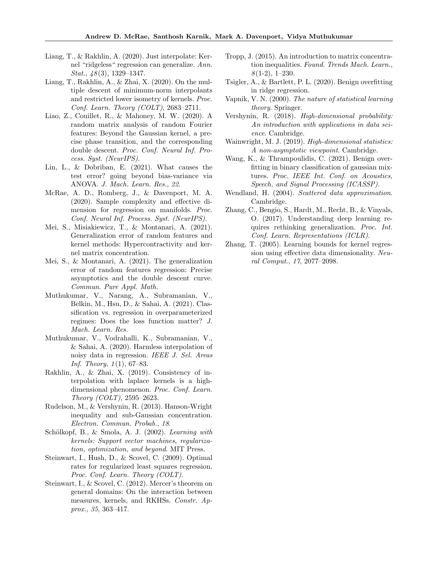- <span id="page-10-16"></span>Liang, T., & Rakhlin, A. (2020). Just interpolate: Kernel "ridgeless" regression can generalize. Ann. *Stat.*,  $\frac{18(3)}{3}$ , 1329–1347.
- <span id="page-10-17"></span>Liang, T., Rakhlin, A., & Zhai, X. (2020). On the multiple descent of minimum-norm interpolants and restricted lower isometry of kernels. Proc. Conf. Learn. Theory (COLT), 2683–2711.
- <span id="page-10-18"></span>Liao, Z., Couillet, R., & Mahoney, M. W. (2020). A random matrix analysis of random Fourier features: Beyond the Gaussian kernel, a precise phase transition, and the corresponding double descent. Proc. Conf. Neural Inf. Process. Syst. (NeurIPS).
- <span id="page-10-19"></span>Lin, L., & Dobriban, E. (2021). What causes the test error? going beyond bias-variance via ANOVA. J. Mach. Learn. Res., 22.
- <span id="page-10-13"></span>McRae, A. D., Romberg, J., & Davenport, M. A. (2020). Sample complexity and effective dimension for regression on manifolds. Proc. Conf. Neural Inf. Process. Syst. (NeurIPS).
- <span id="page-10-20"></span>Mei, S., Misiakiewicz, T., & Montanari, A. (2021). Generalization error of random features and kernel methods: Hypercontractivity and kernel matrix concentration.
- <span id="page-10-21"></span>Mei, S., & Montanari, A. (2021). The generalization error of random features regression: Precise asymptotics and the double descent curve. Commun. Pure Appl. Math.
- <span id="page-10-2"></span>Muthukumar, V., Narang, A., Subramanian, V., Belkin, M., Hsu, D., & Sahai, A. (2021). Classification vs. regression in overparameterized regimes: Does the loss function matter? J. Mach. Learn. Res.
- <span id="page-10-1"></span>Muthukumar, V., Vodrahalli, K., Subramanian, V., & Sahai, A. (2020). Harmless interpolation of noisy data in regression. IEEE J. Sel. Areas Inf. Theory,  $1(1)$ , 67–83.
- <span id="page-10-3"></span>Rakhlin, A., & Zhai, X. (2019). Consistency of interpolation with laplace kernels is a highdimensional phenomenon. Proc. Conf. Learn. Theory (COLT), 2595–2623.
- <span id="page-10-22"></span>Rudelson, M., & Vershynin, R. (2013). Hanson-Wright inequality and sub-Gaussian concentration. Electron. Commun. Probab., 18.
- <span id="page-10-8"></span>Schölkopf, B., & Smola, A. J. (2002). Learning with kernels: Support vector machines, regularization, optimization, and beyond. MIT Press.
- <span id="page-10-7"></span>Steinwart, I., Hush, D., & Scovel, C. (2009). Optimal rates for regularized least squares regression. Proc. Conf. Learn. Theory (COLT).
- <span id="page-10-11"></span>Steinwart, I., & Scovel, C. (2012). Mercer's theorem on general domains: On the interaction between measures, kernels, and RKHSs. Constr. Approx., 35, 363–417.
- <span id="page-10-14"></span>Tropp, J. (2015). An introduction to matrix concentration inequalities. Found. Trends Mach. Learn.,  $8(1-2), 1-230.$
- <span id="page-10-12"></span>Tsigler, A., & Bartlett, P. L. (2020). Benign overfitting in ridge regression.
- <span id="page-10-4"></span>Vapnik, V. N. (2000). The nature of statistical learning theory. Springer.
- <span id="page-10-15"></span>Vershynin, R. (2018). High-dimensional probability: An introduction with applications in data science. Cambridge.
- <span id="page-10-10"></span>Wainwright, M. J. (2019). High-dimensional statistics: A non-asymptotic viewpoint. Cambridge.
- <span id="page-10-5"></span>Wang, K., & Thrampoulidis, C. (2021). Benign overfitting in binary classification of gaussian mixtures. Proc. IEEE Int. Conf. on Acoustics, Speech, and Signal Processing (ICASSP).
- <span id="page-10-9"></span>Wendland, H. (2004). Scattered data approximation. Cambridge.
- <span id="page-10-0"></span>Zhang, C., Bengio, S., Hardt, M., Recht, B., & Vinyals, O. (2017). Understanding deep learning requires rethinking generalization. Proc. Int. Conf. Learn. Representations (ICLR).
- <span id="page-10-6"></span>Zhang, T. (2005). Learning bounds for kernel regression using effective data dimensionality. Neural Comput., 17, 2077–2098.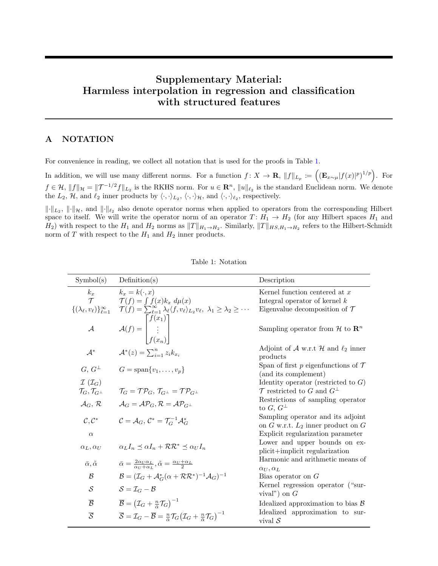# Supplementary Material: Harmless interpolation in regression and classification with structured features

# A NOTATION

For convenience in reading, we collect all notation that is used for the proofs in Table [1.](#page-11-0)

In addition, we will use many different norms. For a function  $f: X \to \mathbf{R}$ ,  $||f||_{L_p} := ((\mathbf{E}_{x \sim \mu}|f(x)|^p)^{1/p})$ . For  $f \in \mathcal{H}, ||f||_{\mathcal{H}} = ||\mathcal{T}^{-1/2}f||_{L_2}$  is the RKHS norm. For  $u \in \mathbb{R}^n$ ,  $||u||_{\ell_2}$  is the standard Euclidean norm. We denote the  $L_2$ , H, and  $\ell_2$  inner products by  $\langle \cdot, \cdot \rangle_{L_2}$ ,  $\langle \cdot, \cdot \rangle_{\mathcal{H}}$ , and  $\langle \cdot, \cdot \rangle_{\ell_2}$ , respectively.

 $\|\cdot\|_{L_2}$ ,  $\|\cdot\|_{\mathcal{H}}$ , and  $\|\cdot\|_{\ell_2}$  also denote operator norms when applied to operators from the corresponding Hilbert space to itself. We will write the operator norm of an operator  $T: H_1 \to H_2$  (for any Hilbert spaces  $H_1$  and  $H_2$ ) with respect to the  $H_1$  and  $H_2$  norms as  $||T||_{H_1\to H_2}$ . Similarly,  $||T||_{HS,H_1\to H_2}$  refers to the Hilbert-Schmidt norm of T with respect to the  $H_1$  and  $H_2$  inner products.

<span id="page-11-0"></span>

| Symbol(s)                                    | Definition(s)                                                                                                                                                                            | Description                                                                 |
|----------------------------------------------|------------------------------------------------------------------------------------------------------------------------------------------------------------------------------------------|-----------------------------------------------------------------------------|
| $k_x$<br>$\tau$                              | $k_r = k(\cdot, x)$                                                                                                                                                                      | Kernel function centered at $x$                                             |
| $\{(\lambda_\ell, v_\ell)\}_{\ell=1}^\infty$ | $\mathcal{T}(f) = \int f(x)k_x \ d\mu(x)$<br>$\mathcal{T}(f) = \sum_{\ell=1}^{\infty} \lambda_{\ell} \langle f, v_{\ell} \rangle_{L_2} v_{\ell}, \ \lambda_1 \geq \lambda_2 \geq \cdots$ | Integral operator of kernel $k$<br>Eigenvalue decomposition of $\mathcal T$ |
|                                              |                                                                                                                                                                                          |                                                                             |
| $\mathcal A$                                 | $\mathcal{A}(f) = \begin{bmatrix} f(x_1) \\ \vdots \\ f(x_n) \end{bmatrix}$                                                                                                              | Sampling operator from $\mathcal H$ to $\mathbb R^n$                        |
|                                              |                                                                                                                                                                                          | Adjoint of A w.r.t H and $\ell_2$ inner                                     |
| $\mathcal{A}^*$                              | $\mathcal{A}^*(z) = \sum_{i=1}^n z_i k_{x_i}$                                                                                                                                            | products                                                                    |
| $G, G^{\perp}$                               | $G = \text{span}\{v_1,\ldots,v_n\}$                                                                                                                                                      | Span of first p eigenfunctions of $\mathcal T$                              |
|                                              |                                                                                                                                                                                          | (and its complement)                                                        |
| $\mathcal{I}(\mathcal{I}_G)$                 |                                                                                                                                                                                          | Identity operator (restricted to $G$ )                                      |
| $\mathcal{T}_G, \mathcal{T}_{G^\perp}$       | $\mathcal{T}_G = \mathcal{T} \mathcal{P}_G, \mathcal{T}_{G^\perp} = \mathcal{T} \mathcal{P}_{G^\perp}$                                                                                   | $\mathcal T$ restricted to G and $G^{\perp}$                                |
| $\mathcal{A}_G, \mathcal{R}$                 | $\mathcal{A}_G = \mathcal{A} \mathcal{P}_G$ , $\mathcal{R} = \mathcal{A} \mathcal{P}_{G}$                                                                                                | Restrictions of sampling operator<br>to $G, G^{\perp}$                      |
| $C, C^*$                                     | $\mathcal{C}=\mathcal{A}_G, \, \mathcal{C}^*=\mathcal{T}_G^{-1}\mathcal{A}_G^*$                                                                                                          | Sampling operator and its adjoint<br>on G w.r.t. $L_2$ inner product on G   |
| $\alpha$                                     |                                                                                                                                                                                          | Explicit regularization parameter                                           |
| $\alpha_L, \alpha_U$                         | $\alpha_L I_n \preceq \alpha I_n + \mathcal{R} \mathcal{R}^* \preceq \alpha_U I_n$                                                                                                       | Lower and upper bounds on ex-<br>plicit+implicit regularization             |
| $\bar{\alpha}, \tilde{\alpha}$               | $\bar{\alpha} = \frac{2\alpha_U \alpha_L}{\alpha_U + \alpha_L}, \tilde{\alpha} = \frac{\alpha_U + \alpha_L}{2}$                                                                          | Harmonic and arithmetic means of<br>$\alpha_U, \alpha_L$                    |
| $\mathcal{B}$                                | $\mathcal{B} = (\mathcal{I}_G + \mathcal{A}_G^*(\alpha + \mathcal{R}\mathcal{R}^*)^{-1}\mathcal{A}_G)^{-1}$                                                                              | Bias operator on $G$                                                        |
| S                                            | $S = \mathcal{I}_G - \mathcal{B}$                                                                                                                                                        | Kernel regression operator ("sur-<br>vival") on $G$                         |
| $\overline{\mathcal{B}}$                     | $\overline{\mathcal{B}} = (\mathcal{I}_G + \frac{n}{2}\mathcal{T}_G)^{-1}$                                                                                                               | Idealized approximation to bias $\beta$                                     |
| $\overline{S}$                               | $\overline{\mathcal{S}} = \mathcal{I}_G - \overline{\mathcal{B}} = \frac{n}{\overline{\alpha}} \mathcal{T}_G \big( \mathcal{I}_G + \frac{n}{\overline{\alpha}} \mathcal{T}_G \big)^{-1}$ | Idealized approximation to sur-<br>vival $\mathcal S$                       |

Table 1: Notation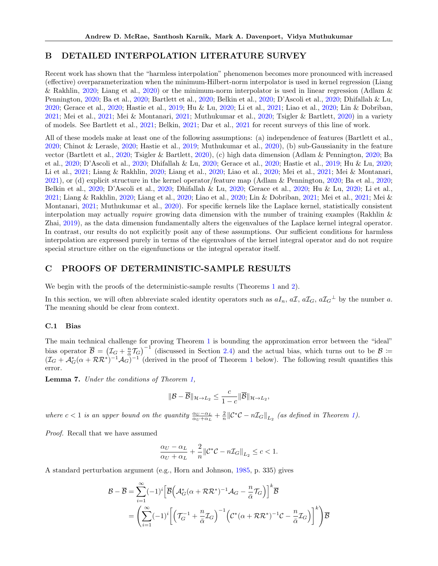# <span id="page-12-0"></span>B DETAILED INTERPOLATION LITERATURE SURVEY

Recent work has shown that the "harmless interpolation" phenomenon becomes more pronounced with increased (effective) overparameterization when the minimum-Hilbert-norm interpolator is used in kernel regression (Liang & Rakhlin, [2020;](#page-10-16) Liang et al., [2020\)](#page-10-17) or the minimum-norm interpolator is used in linear regression (Adlam & Pennington, [2020;](#page-9-17) Ba et al., [2020;](#page-9-18) Bartlett et al., [2020;](#page-9-3) Belkin et al., [2020;](#page-9-19) D'Ascoli et al., [2020;](#page-9-20) Dhifallah & Lu, [2020;](#page-9-21) Gerace et al., [2020;](#page-9-22) Hastie et al., [2019;](#page-9-23) Hu & Lu, [2020;](#page-9-24) Li et al., [2021;](#page-9-25) Liao et al., [2020;](#page-10-18) Lin & Dobriban, [2021;](#page-10-19) Mei et al., [2021;](#page-10-20) Mei & Montanari, [2021;](#page-10-21) Muthukumar et al., [2020;](#page-10-1) Tsigler & Bartlett, [2020\)](#page-10-12) in a variety of models. See Bartlett et al., [2021;](#page-9-26) Belkin, [2021;](#page-9-27) Dar et al., [2021](#page-9-28) for recent surveys of this line of work.

All of these models make at least one of the following assumptions: (a) independence of features (Bartlett et al., [2020;](#page-9-3) Chinot & Lerasle, [2020;](#page-9-29) Hastie et al., [2019;](#page-9-23) Muthukumar et al., [2020\)](#page-10-1), (b) sub-Gaussianity in the feature vector (Bartlett et al., [2020;](#page-9-3) Tsigler & Bartlett, [2020\)](#page-10-12), (c) high data dimension (Adlam & Pennington, [2020;](#page-9-17) Ba et al., [2020;](#page-9-18) D'Ascoli et al., [2020;](#page-9-20) Dhifallah & Lu, [2020;](#page-9-21) Gerace et al., [2020;](#page-9-22) Hastie et al., [2019;](#page-9-23) Hu & Lu, [2020;](#page-9-24) Li et al., [2021;](#page-9-25) Liang & Rakhlin, [2020;](#page-10-16) Liang et al., [2020;](#page-10-17) Liao et al., [2020;](#page-10-18) Mei et al., [2021;](#page-10-20) Mei & Montanari, [2021\)](#page-10-21), or (d) explicit structure in the kernel operator/feature map (Adlam & Pennington, [2020;](#page-9-17) Ba et al., [2020;](#page-9-18) Belkin et al., [2020;](#page-9-19) D'Ascoli et al., [2020;](#page-9-20) Dhifallah & Lu, [2020;](#page-9-21) Gerace et al., [2020;](#page-9-22) Hu & Lu, [2020;](#page-9-24) Li et al., [2021;](#page-9-25) Liang & Rakhlin, [2020;](#page-10-16) Liang et al., [2020;](#page-10-17) Liao et al., [2020;](#page-10-18) Lin & Dobriban, [2021;](#page-10-19) Mei et al., [2021;](#page-10-20) Mei & Montanari, [2021;](#page-10-21) Muthukumar et al., [2020\)](#page-10-1). For specific kernels like the Laplace kernel, statistically consistent interpolation may actually require growing data dimension with the number of training examples (Rakhlin & Zhai, [2019\)](#page-10-3), as the data dimension fundamentally alters the eigenvalues of the Laplace kernel integral operator. In contrast, our results do not explicitly posit any of these assumptions. Our sufficient conditions for harmless interpolation are expressed purely in terms of the eigenvalues of the kernel integral operator and do not require special structure either on the eigenfunctions or the integral operator itself.

### <span id="page-12-1"></span>C PROOFS OF DETERMINISTIC-SAMPLE RESULTS

We begin with the proofs of the deterministic-sample results (Theorems [1](#page-3-1) and [2\)](#page-4-1).

In this section, we will often abbreviate scaled identity operators such as  $aI_n$ ,  $aI_a$ ,  $aI_G$ ,  $aI_G^{\perp}$  by the number a. The meaning should be clear from context.

### <span id="page-12-2"></span>C.1 Bias

The main technical challenge for proving Theorem [1](#page-3-1) is bounding the approximation error between the "ideal" bias operator  $\overline{\mathcal{B}} = (\mathcal{I}_G + \frac{n}{\overline{\alpha}} \mathcal{T}_G)^{-1}$  (discussed in Section [2.4\)](#page-5-0) and the actual bias, which turns out to be  $\mathcal{B} =$  $(\mathcal{I}_G + \mathcal{A}_G^*(\alpha + \mathcal{RR}^*)^{-1}\mathcal{A}_G)^{-1}$  $(\mathcal{I}_G + \mathcal{A}_G^*(\alpha + \mathcal{RR}^*)^{-1}\mathcal{A}_G)^{-1}$  $(\mathcal{I}_G + \mathcal{A}_G^*(\alpha + \mathcal{RR}^*)^{-1}\mathcal{A}_G)^{-1}$  (derived in the proof of Theorem 1 below). The following result quantifies this error.

<span id="page-12-3"></span>Lemma 7. Under the conditions of Theorem [1,](#page-3-1)

$$
\|\mathcal{B}-\overline{\mathcal{B}}\|_{\mathcal{H}\to L_2}\leq \frac{c}{1-c}\|\overline{\mathcal{B}}\|_{\mathcal{H}\to L_2},
$$

where  $c < 1$  is an upper bound on the quantity  $\frac{\alpha_U - \alpha_L}{\alpha_U + \alpha_L} + \frac{2}{n} ||\mathcal{C}^*\mathcal{C} - n\mathcal{I}_G||_{L_2}$  (as defined in Theorem [1\)](#page-3-1).

Proof. Recall that we have assumed

$$
\frac{\alpha_U-\alpha_L}{\alpha_U+\alpha_L}+\frac{2}{n}\|{\mathcal C}^*{\mathcal C}-n{\mathcal I}_G\|_{L_2}\leq c<1.
$$

A standard perturbation argument (e.g., Horn and Johnson, [1985,](#page-9-30) p. 335) gives

$$
\mathcal{B} - \overline{\mathcal{B}} = \sum_{i=1}^{\infty} (-1)^i \left[ \overline{\mathcal{B}} \left( \mathcal{A}_G^* (\alpha + \mathcal{R} \mathcal{R}^*)^{-1} \mathcal{A}_G - \frac{n}{\overline{\alpha}} \mathcal{T}_G \right) \right]^k \overline{\mathcal{B}}
$$
  
= 
$$
\left( \sum_{i=1}^{\infty} (-1)^i \left[ \left( \mathcal{T}_G^{-1} + \frac{n}{\overline{\alpha}} \mathcal{I}_G \right)^{-1} \left( \mathcal{C}^* (\alpha + \mathcal{R} \mathcal{R}^*)^{-1} \mathcal{C} - \frac{n}{\overline{\alpha}} \mathcal{I}_G \right) \right]^k \right) \overline{\mathcal{B}}
$$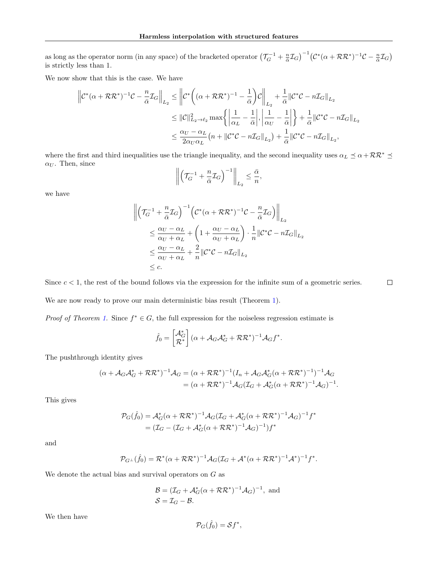as long as the operator norm (in any space) of the bracketed operator  $(\mathcal{T}_G^{-1} + \frac{n}{\overline{\alpha}} \mathcal{I}_G)^{-1} (\mathcal{C}^*(\alpha + \mathcal{RR}^*)^{-1} \mathcal{C} - \frac{n}{\overline{\alpha}} \mathcal{I}_G)$ is strictly less than 1.

We now show that this is the case. We have

$$
\begin{split} \left\| \mathcal{C}^*(\alpha+\mathcal{R}\mathcal{R}^*)^{-1}\mathcal{C} - \frac{n}{\bar{\alpha}}\mathcal{I}_G \right\|_{L_2} &\leq \left\| \mathcal{C}^*\bigg((\alpha+\mathcal{R}\mathcal{R}^*)^{-1} - \frac{1}{\bar{\alpha}}\bigg)\mathcal{C} \right\|_{L_2} + \frac{1}{\bar{\alpha}}\|\mathcal{C}^*\mathcal{C} - n\mathcal{I}_G\|_{L_2} \\ &\leq \|\mathcal{C}\|_{L_2 \to \ell_2}^2 \max\bigg\{\bigg|\frac{1}{\alpha_L} - \frac{1}{\bar{\alpha}}\bigg|, \bigg|\frac{1}{\alpha_U} - \frac{1}{\bar{\alpha}}\bigg|\bigg\} + \frac{1}{\bar{\alpha}}\|\mathcal{C}^*\mathcal{C} - n\mathcal{I}_G\|_{L_2} \\ &\leq \frac{\alpha_U - \alpha_L}{2\alpha_U\alpha_L}\big(n + \|\mathcal{C}^*\mathcal{C} - n\mathcal{I}_G\|_{L_2}\big) + \frac{1}{\bar{\alpha}}\|\mathcal{C}^*\mathcal{C} - n\mathcal{I}_G\|_{L_2}, \end{split}
$$

where the first and third inequalities use the triangle inequality, and the second inequality uses  $\alpha_L \preceq \alpha + \mathcal{RR}^* \preceq$  $\alpha_U$ . Then, since

$$
\left\| \left( \mathcal{T}_G^{-1} + \frac{n}{\bar{\alpha}} \mathcal{I}_G \right)^{-1} \right\|_{L_2} \le \frac{\bar{\alpha}}{n},
$$

we have

$$
\begin{split} \left\| \left( \mathcal{T}_{G}^{-1} + \frac{n}{\bar{\alpha}} \mathcal{I}_{G} \right)^{-1} \left( \mathcal{C}^{*} (\alpha + \mathcal{R} \mathcal{R}^{*})^{-1} \mathcal{C} - \frac{n}{\bar{\alpha}} \mathcal{I}_{G} \right) \right\|_{L_{2}} \\ &\leq \frac{\alpha_{U} - \alpha_{L}}{\alpha_{U} + \alpha_{L}} + \left( 1 + \frac{\alpha_{U} - \alpha_{L}}{\alpha_{U} + \alpha_{L}} \right) \cdot \frac{1}{n} \| \mathcal{C}^{*} \mathcal{C} - n \mathcal{I}_{G} \|_{L_{2}} \\ &\leq \frac{\alpha_{U} - \alpha_{L}}{\alpha_{U} + \alpha_{L}} + \frac{2}{n} \| \mathcal{C}^{*} \mathcal{C} - n \mathcal{I}_{G} \|_{L_{2}} \\ &\leq c. \end{split}
$$

Since  $c < 1$ , the rest of the bound follows via the expression for the infinite sum of a geometric series.  $\Box$ 

We are now ready to prove our main deterministic bias result (Theorem [1\)](#page-3-1).

*Proof of Theorem [1.](#page-3-1)* Since  $f^* \in G$ , the full expression for the noiseless regression estimate is

$$
\hat{f}_0 = \begin{bmatrix} \mathcal{A}_G^* \\ \mathcal{R}^* \end{bmatrix} (\alpha + \mathcal{A}_G \mathcal{A}_G^* + \mathcal{R} \mathcal{R}^*)^{-1} \mathcal{A}_G f^*.
$$

The pushthrough identity gives

$$
(\alpha + A_G A_G^* + \mathcal{R} \mathcal{R}^*)^{-1} A_G = (\alpha + \mathcal{R} \mathcal{R}^*)^{-1} (I_n + A_G A_G^* (\alpha + \mathcal{R} \mathcal{R}^*)^{-1})^{-1} A_G = (\alpha + \mathcal{R} \mathcal{R}^*)^{-1} A_G (\mathcal{I}_G + A_G^* (\alpha + \mathcal{R} \mathcal{R}^*)^{-1} A_G)^{-1}.
$$

This gives

$$
\mathcal{P}_G(\hat{f}_0) = \mathcal{A}_G^*(\alpha + \mathcal{R}\mathcal{R}^*)^{-1}\mathcal{A}_G(\mathcal{I}_G + \mathcal{A}_G^*(\alpha + \mathcal{R}\mathcal{R}^*)^{-1}\mathcal{A}_G)^{-1}f^*
$$
  
=  $(\mathcal{I}_G - (\mathcal{I}_G + \mathcal{A}_G^*(\alpha + \mathcal{R}\mathcal{R}^*)^{-1}\mathcal{A}_G)^{-1})f^*$ 

and

$$
\mathcal{P}_{G^\perp}(\hat{f}_0) = \mathcal{R}^*(\alpha + \mathcal{R}\mathcal{R}^*)^{-1}\mathcal{A}_G(\mathcal{I}_G + \mathcal{A}^*(\alpha + \mathcal{R}\mathcal{R}^*)^{-1}\mathcal{A}^*)^{-1}f^*.
$$

We denote the actual bias and survival operators on  $G$  as

$$
\mathcal{B} = (\mathcal{I}_G + \mathcal{A}_G^*(\alpha + \mathcal{RR}^*)^{-1}\mathcal{A}_G)^{-1}, \text{ and}
$$
  

$$
\mathcal{S} = \mathcal{I}_G - \mathcal{B}.
$$

We then have

$$
\mathcal{P}_G(\hat{f}_0) = \mathcal{S}f^*,
$$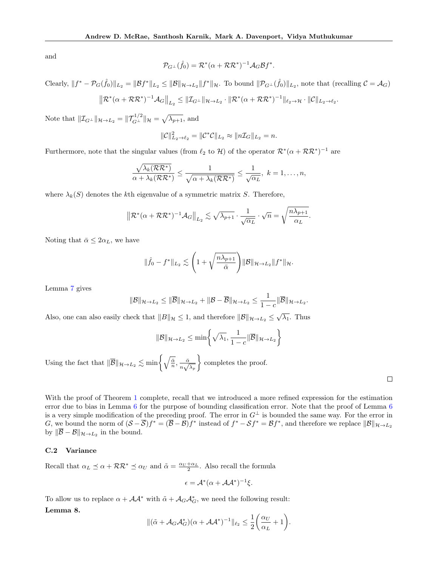and

$$
\mathcal{P}_{G^{\perp}}(\hat{f}_0) = \mathcal{R}^*(\alpha + \mathcal{R}\mathcal{R}^*)^{-1} \mathcal{A}_G \mathcal{B} f^*.
$$

Clearly,  $||f^* - \mathcal{P}_G(\hat{f}_0)||_{L_2} = ||\mathcal{B}f^*||_{L_2} \le ||\mathcal{B}||_{\mathcal{H} \to L_2} ||f^*||_{\mathcal{H}}$ . To bound  $||\mathcal{P}_{G^{\perp}}(\hat{f}_0)||_{L_2}$ , note that (recalling  $\mathcal{C} = \mathcal{A}_G$ )

$$
\|\mathcal{R}^*(\alpha+\mathcal{R}\mathcal{R}^*)^{-1}\mathcal{A}_G\|_{L_2} \le \|\mathcal{I}_{G^\perp}\|_{\mathcal{H}\to L_2} \cdot \|\mathcal{R}^*(\alpha+\mathcal{R}\mathcal{R}^*)^{-1}\|_{\ell_2\to\mathcal{H}} \cdot \|\mathcal{C}\|_{L_2\to\ell_2}
$$

Note that  $||\mathcal{I}_{G^{\perp}}||_{\mathcal{H}\to L_2} = ||\mathcal{T}_{G^{\perp}}^{1/2}||_{\mathcal{H}} = \sqrt{\lambda_{p+1}}$ , and

$$
\|\mathcal{C}\|_{L_2\to\ell_2}^2 = \|\mathcal{C}^*\mathcal{C}\|_{L_2} \approx \|n\mathcal{I}_G\|_{L_2} = n.
$$

Furthermore, note that the singular values (from  $\ell_2$  to H) of the operator  $\mathcal{R}^*(\alpha + \mathcal{R}\mathcal{R}^*)^{-1}$  are

$$
\frac{\sqrt{\lambda_k(\mathcal{R}\mathcal{R}^*)}}{\alpha+\lambda_k(\mathcal{R}\mathcal{R}^*)} \leq \frac{1}{\sqrt{\alpha+\lambda_k(\mathcal{R}\mathcal{R}^*)}} \leq \frac{1}{\sqrt{\alpha_L}}, \ k=1,\ldots,n,
$$

where  $\lambda_k(S)$  denotes the kth eigenvalue of a symmetric matrix S. Therefore,

$$
\left\|\mathcal{R}^*(\alpha+\mathcal{R}\mathcal{R}^*)^{-1}\mathcal{A}_G\right\|_{L_2} \lesssim \sqrt{\lambda_{p+1}} \cdot \frac{1}{\sqrt{\alpha_L}} \cdot \sqrt{n} = \sqrt{\frac{n\lambda_{p+1}}{\alpha_L}}.
$$

Noting that  $\bar{\alpha} \leq 2\alpha_L$ , we have

$$
\|\hat{f}_0 - f^*\|_{L_2} \lesssim \left(1 + \sqrt{\frac{n\lambda_{p+1}}{\bar{\alpha}}}\right) \|\mathcal{B}\|_{\mathcal{H}\to L_2} \|f^*\|_{\mathcal{H}}.
$$

Lemma [7](#page-12-3) gives

$$
\|\mathcal{B}\|_{\mathcal{H}\to L_2}\leq \|\overline{\mathcal{B}}\|_{\mathcal{H}\to L_2}+\|\mathcal{B}-\overline{\mathcal{B}}\|_{\mathcal{H}\to L_2}\leq \frac{1}{1-c}\|\overline{\mathcal{B}}\|_{\mathcal{H}\to L_2}.
$$

Also, one can also easily check that  $||B||_{\mathcal{H}} \leq 1$ , and therefore  $||\mathcal{B}||_{\mathcal{H} \to L_2} \leq \sqrt{\lambda_1}$ . Thus

$$
\|\mathcal{B}\|_{\mathcal{H}\to L_2} \le \min\left\{\sqrt{\lambda_1}, \frac{1}{1-c} \|\overline{\mathcal{B}}\|_{\mathcal{H}\to L_2}\right\}
$$

Using the fact that  $\|\overline{\mathcal{B}}\|_{\mathcal{H}\to L_2} \lesssim \min\left\{\sqrt{\frac{\tilde{\alpha}}{n}}, \frac{\tilde{\alpha}}{n},\frac{\tilde{\alpha}}{n}\right\}$  $\frac{\bar{\alpha}}{n\sqrt{\lambda_p}}$ completes the proof.

.

With the proof of Theorem [1](#page-3-1) complete, recall that we introduced a more refined expression for the estimation error due to bias in Lemma [6](#page-7-1) for the purpose of bounding classification error. Note that the proof of Lemma [6](#page-7-1) is a very simple modification of the preceding proof. The error in  $G^{\perp}$  is bounded the same way. For the error in G, we bound the norm of  $(\mathcal{S} - \overline{\mathcal{S}})f^* = (\overline{\mathcal{B}} - \mathcal{B})f^*$  instead of  $f^* - \mathcal{S}f^* = \mathcal{B}f^*$ , and therefore we replace  $\|\mathcal{B}\|_{\mathcal{H} \to L_2}$ by  $\|\mathcal{B} - \mathcal{B}\|_{\mathcal{H} \to L_2}$  in the bound.

### <span id="page-14-0"></span>C.2 Variance

Recall that  $\alpha_L \preceq \alpha + \mathcal{RR}^* \preceq \alpha_U$  and  $\tilde{\alpha} = \frac{\alpha_U + \alpha_L}{2}$ . Also recall the formula

$$
\epsilon = \mathcal{A}^*(\alpha + \mathcal{A}\mathcal{A}^*)^{-1}\xi.
$$

To allow us to replace  $\alpha + \mathcal{A}\mathcal{A}^*$  with  $\tilde{\alpha} + \mathcal{A}_G\mathcal{A}_G^*$ , we need the following result:

### <span id="page-14-1"></span>Lemma 8.

$$
\|(\tilde{\alpha} + \mathcal{A}_G \mathcal{A}_G^*)(\alpha + \mathcal{A} \mathcal{A}^*)^{-1}\|_{\ell_2} \le \frac{1}{2} \bigg(\frac{\alpha_U}{\alpha_L} + 1\bigg).
$$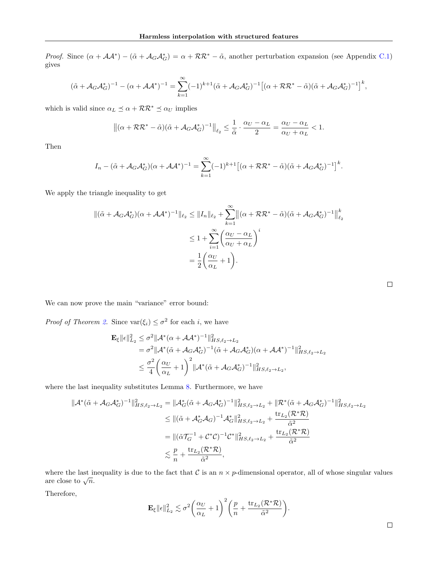Proof. Since  $(\alpha + \mathcal{A}\mathcal{A}^*) - (\tilde{\alpha} + \mathcal{A}_G\mathcal{A}_G^*) = \alpha + \mathcal{R}\mathcal{R}^* - \tilde{\alpha}$ , another perturbation expansion (see Appendix [C.1\)](#page-12-2) gives

$$
(\tilde{\alpha} + A_G \mathcal{A}_G^*)^{-1} - (\alpha + \mathcal{A}\mathcal{A}^*)^{-1} = \sum_{k=1}^{\infty} (-1)^{k+1} (\tilde{\alpha} + A_G \mathcal{A}_G^*)^{-1} \left[ (\alpha + \mathcal{R}\mathcal{R}^* - \tilde{\alpha})(\tilde{\alpha} + A_G \mathcal{A}_G^*)^{-1} \right]^k,
$$

which is valid since  $\alpha_L \preceq \alpha + \mathcal{RR}^* \preceq \alpha_U$  implies

$$
\left\| (\alpha + \mathcal{RR}^* - \tilde{\alpha})(\tilde{\alpha} + \mathcal{A}_G \mathcal{A}_G^*)^{-1} \right\|_{\ell_2} \le \frac{1}{\tilde{\alpha}} \cdot \frac{\alpha_U - \alpha_L}{2} = \frac{\alpha_U - \alpha_L}{\alpha_U + \alpha_L} < 1.
$$

Then

$$
I_n - (\tilde{\alpha} + \mathcal{A}_G \mathcal{A}_G^*)(\alpha + \mathcal{A} \mathcal{A}^*)^{-1} = \sum_{k=1}^{\infty} (-1)^{k+1} \left[ (\alpha + \mathcal{R} \mathcal{R}^* - \tilde{\alpha})(\tilde{\alpha} + \mathcal{A}_G \mathcal{A}_G^*)^{-1} \right]^k.
$$

We apply the triangle inequality to get

$$
\begin{split} \|(\tilde{\alpha} + \mathcal{A}_{G}\mathcal{A}_{G}^{*})(\alpha + \mathcal{A}\mathcal{A}^{*})^{-1} \|_{\ell_{2}} &\leq \|I_{n}\|_{\ell_{2}} + \sum_{k=1}^{\infty} \left\|(\alpha + \mathcal{R}\mathcal{R}^{*} - \tilde{\alpha})(\tilde{\alpha} + \mathcal{A}_{G}\mathcal{A}_{G}^{*})^{-1}\right\|_{\ell_{2}}^{k} \\ &\leq 1 + \sum_{i=1}^{\infty} \left(\frac{\alpha_{U} - \alpha_{L}}{\alpha_{U} + \alpha_{L}}\right)^{i} \\ &= \frac{1}{2} \left(\frac{\alpha_{U}}{\alpha_{L}} + 1\right). \end{split}
$$

We can now prove the main "variance" error bound:

*Proof of Theorem [2.](#page-4-1)* Since  $\text{var}(\xi_i) \leq \sigma^2$  for each *i*, we have

$$
\mathbf{E}_{\xi} ||\epsilon||_{L_2}^2 \leq \sigma^2 ||\mathcal{A}^*(\alpha + \mathcal{A}\mathcal{A}^*)^{-1}||_{HS,\ell_2 \to L_2}^2
$$
  
=  $\sigma^2 ||\mathcal{A}^*(\tilde{\alpha} + \mathcal{A}_G\mathcal{A}_G^*)^{-1}(\tilde{\alpha} + \mathcal{A}_G\mathcal{A}_G^*)(\alpha + \mathcal{A}\mathcal{A}^*)^{-1}||_{HS,\ell_2 \to L_2}^2$   
 $\leq \frac{\sigma^2}{4} \left(\frac{\alpha_U}{\alpha_L} + 1\right)^2 ||\mathcal{A}^*(\tilde{\alpha} + \mathcal{A}_G\mathcal{A}_G^*)^{-1}||_{HS,\ell_2 \to L_2}^2$ ,

where the last inequality substitutes Lemma [8.](#page-14-1) Furthermore, we have

$$
\begin{split} \|\mathcal{A}^*(\tilde{\alpha} + \mathcal{A}_G \mathcal{A}_G^*)^{-1}\|_{HS,\ell_2 \to L_2}^2 &= \|\mathcal{A}_G^*(\tilde{\alpha} + \mathcal{A}_G \mathcal{A}_G^*)^{-1}\|_{HS,\ell_2 \to L_2}^2 + \|\mathcal{R}^*(\tilde{\alpha} + \mathcal{A}_G \mathcal{A}_G^*)^{-1}\|_{HS,\ell_2 \to L_2}^2 \\ &\le \|(\tilde{\alpha} + \mathcal{A}_G^* \mathcal{A}_G)^{-1} \mathcal{A}_G^*\|_{HS,\ell_2 \to L_2}^2 + \frac{\text{tr}_{L_2}(\mathcal{R}^* \mathcal{R})}{\tilde{\alpha}^2} \\ &= \|(\tilde{\alpha}\mathcal{T}_G^{-1} + \mathcal{C}^* \mathcal{C})^{-1} \mathcal{C}^* \|_{HS,\ell_2 \to L_2}^2 + \frac{\text{tr}_{L_2}(\mathcal{R}^* \mathcal{R})}{\tilde{\alpha}^2} \\ &\le \frac{p}{n} + \frac{\text{tr}_{L_2}(\mathcal{R}^* \mathcal{R})}{\tilde{\alpha}^2}, \end{split}
$$

where the last inequality is due to the fact that C is an  $n \times p$ -dimensional operator, all of whose singular values where the rast in are close to  $\sqrt{n}$ .

Therefore,

$$
\mathbf{E}_{\xi} \|\epsilon\|_{L_2}^2 \lesssim \sigma^2 \bigg(\frac{\alpha_U}{\alpha_L} + 1\bigg)^2 \bigg(\frac{p}{n} + \frac{\text{tr}_{L_2}(\mathcal{R}^* \mathcal{R})}{\tilde{\alpha}^2}\bigg).
$$

| ۰ |  |  |
|---|--|--|
|   |  |  |
|   |  |  |
|   |  |  |

 $\Box$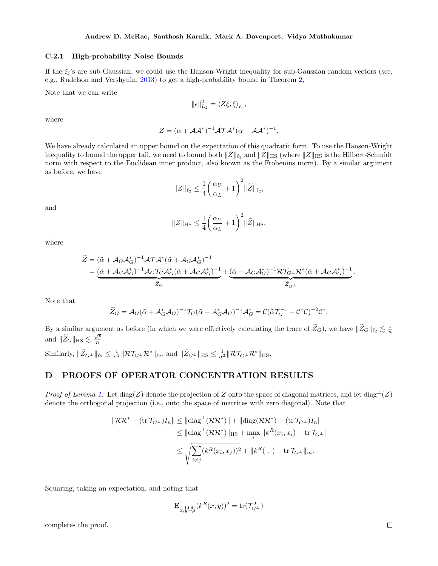#### C.2.1 High-probability Noise Bounds

If the  $\xi_i$ 's are sub-Gaussian, we could use the Hanson-Wright inequality for sub-Gaussian random vectors (see, e.g., Rudelson and Vershynin, [2013\)](#page-10-22) to get a high-probability bound in Theorem [2,](#page-4-1)

Note that we can write

$$
\|\epsilon\|_{L_2}^2 = \langle Z\xi, \xi \rangle_{\ell_2},
$$

where

$$
Z = (\alpha + \mathcal{A}\mathcal{A}^*)^{-1} \mathcal{A}\mathcal{T}\mathcal{A}^*(\alpha + \mathcal{A}\mathcal{A}^*)^{-1}.
$$

We have already calculated an upper bound on the expectation of this quadratic form. To use the Hanson-Wright inequality to bound the upper tail, we need to bound both  $\|Z\|_{\ell_2}$  and  $\|Z\|_{\text{HS}}$  (where  $\|Z\|_{\text{HS}}$  is the Hilbert-Schmidt norm with respect to the Euclidean inner product, also known as the Frobenius norm). By a similar argument as before, we have

$$
||Z||_{\ell_2}\leq \frac{1}{4}\bigg(\frac{\alpha_U}{\alpha_L}+1\bigg)^2||\widetilde{Z}||_{\ell_2},
$$

and

$$
||Z||_{\text{HS}} \le \frac{1}{4} \left(\frac{\alpha_U}{\alpha_L} + 1\right)^2 ||\widetilde{Z}||_{\text{HS}},
$$

where

$$
\begin{split} \widetilde{Z} &= \left(\tilde{\alpha} + \mathcal{A}_{G}\mathcal{A}_{G}^{*}\right)^{-1}\mathcal{A}\mathcal{T}\mathcal{A}^{*}\left(\tilde{\alpha} + \mathcal{A}_{G}\mathcal{A}_{G}^{*}\right)^{-1} \\ &= \underbrace{\left(\tilde{\alpha} + \mathcal{A}_{G}\mathcal{A}_{G}^{*}\right)^{-1}\mathcal{A}_{G}\mathcal{T}_{G}\mathcal{A}_{G}^{*}\left(\tilde{\alpha} + \mathcal{A}_{G}\mathcal{A}_{G}^{*}\right)^{-1}}_{\widetilde{Z}_{G}} + \underbrace{\left(\tilde{\alpha} + \mathcal{A}_{G}\mathcal{A}_{G}^{*}\right)^{-1}\mathcal{R}\mathcal{T}_{G^{\perp}}\mathcal{R}^{*}\left(\tilde{\alpha} + \mathcal{A}_{G}\mathcal{A}_{G}^{*}\right)^{-1}}_{\widetilde{Z}_{G^{\perp}}} \end{split}
$$

Note that

$$
\widetilde{Z}_G = \mathcal{A}_G(\widetilde{\alpha} + \mathcal{A}_G^* \mathcal{A}_G)^{-1} \mathcal{T}_G(\widetilde{\alpha} + \mathcal{A}_G^* \mathcal{A}_G)^{-1} \mathcal{A}_G^* = \mathcal{C}(\widetilde{\alpha} \mathcal{T}_G^{-1} + \mathcal{C}^* \mathcal{C})^{-2} \mathcal{C}^*.
$$

By a similar argument as before (in which we were effectively calculating the trace of  $\widetilde{Z}_G$ ), we have  $\|\widetilde{Z}_G\|_{\ell_2} \lesssim \frac{1}{n}$ and  $\|\widetilde{Z}_G\|_{\text{HS}} \lesssim \frac{\sqrt{p}}{n}$  $\frac{\angle p}{n}$ .

Similarly,  $\|\widetilde{Z}_{G^{\perp}}\|_{\ell_2} \leq \frac{1}{\tilde{\alpha}^2} \|\mathcal{R}\mathcal{T}_{G^{\perp}}\mathcal{R}^*\|_{\ell_2}$ , and  $\|\widetilde{Z}_{G^{\perp}}\|_{\text{HS}} \leq \frac{1}{\tilde{\alpha}^2} \|\mathcal{R}\mathcal{T}_{G^{\perp}}\mathcal{R}^*\|_{\text{HS}}$ .

# <span id="page-16-0"></span>D PROOFS OF OPERATOR CONCENTRATION RESULTS

*Proof of Lemma [1.](#page-4-3)* Let diag(Z) denote the projection of Z onto the space of diagonal matrices, and let diag<sup>⊥</sup>(Z) denote the orthogonal projection (i.e., onto the space of matrices with zero diagonal). Note that

$$
\|\mathcal{R}\mathcal{R}^* - (\text{tr}\,\mathcal{T}_{G^\perp})I_n\| \leq \|\text{diag}^\perp(\mathcal{R}\mathcal{R}^*)\| + \|\text{diag}(\mathcal{R}\mathcal{R}^*) - (\text{tr}\,\mathcal{T}_{G^\perp})I_n\|
$$
  

$$
\leq \|\text{diag}^\perp(\mathcal{R}\mathcal{R}^*)\|_{\text{HS}} + \max_i |k^R(x_i, x_i) - \text{tr}\,\mathcal{T}_{G^\perp}|
$$
  

$$
\leq \sqrt{\sum_{i\neq j} (k^R(x_i, x_j))^2 + \|k^R(\cdot, \cdot) - \text{tr}\,\mathcal{T}_{G^\perp}\|_{\infty}}.
$$

Squaring, taking an expectation, and noting that

$$
\mathbf{E}_{x,y \sim \mu}(\mathbf{k}^R(x,y))^2 = \text{tr}(\mathcal{T}_{G^\perp}^2)
$$

completes the proof.

.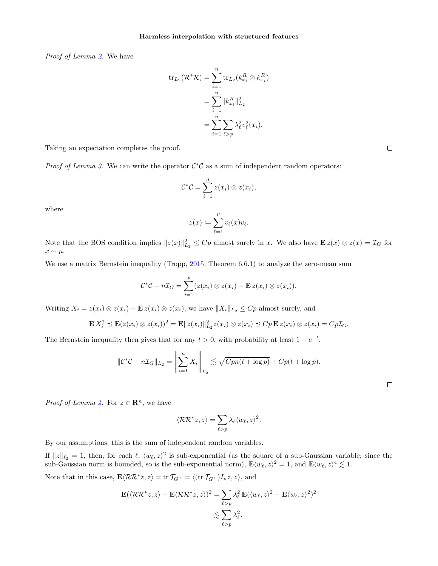Proof of Lemma [2.](#page-4-2) We have

$$
\operatorname{tr}_{L_2}(\mathcal{R}^*\mathcal{R}) = \sum_{i=1}^n \operatorname{tr}_{L_2}(k_{x_i}^R \otimes k_{x_i}^R)
$$

$$
= \sum_{i=1}^n \|k_{x_i}^R\|_{L_2}^2
$$

$$
= \sum_{i=1}^n \sum_{\ell > p} \lambda_\ell^2 v_\ell^2(x_i).
$$

Taking an expectation completes the proof.

*Proof of Lemma [3.](#page-5-2)* We can write the operator  $C^*C$  as a sum of independent random operators:

$$
\mathcal{C}^*\mathcal{C}=\sum_{i=1}^nz(x_i)\otimes z(x_i),
$$

where

$$
z(x) := \sum_{\ell=1}^p v_\ell(x)v_\ell.
$$

Note that the BOS condition implies  $||z(x)||_{L_2}^2 \leq Cp$  almost surely in x. We also have  $\mathbf{E} z(x) \otimes z(x) = \mathcal{I}_G$  for  $x \sim \mu$ .

We use a matrix Bernstein inequality (Tropp, [2015,](#page-10-14) Theorem 6.6.1) to analyze the zero-mean sum

$$
\mathcal{C}^*\mathcal{C} - n\mathcal{I}_G = \sum_{i=1}^p (z(x_i) \otimes z(x_i) - \mathbf{E} z(x_i) \otimes z(x_i)).
$$

Writing  $X_i = z(x_i) \otimes z(x_i) - \mathbf{E} z(x_i) \otimes z(x_i)$ , we have  $||X_i||_{L_2} \leq Cp$  almost surely, and

$$
\mathbf{E} X_i^2 \preceq \mathbf{E}(z(x_i) \otimes z(x_i))^2 = \mathbf{E} \|z(x_i)\|_{L_2}^2 z(x_i) \otimes z(x_i) \preceq Cp \mathbf{E} z(x_i) \otimes z(x_i) = Cp \mathcal{I}_G.
$$

The Bernstein inequality then gives that for any  $t > 0$ , with probability at least  $1 - e^{-t}$ ,

$$
\|\mathcal{C}^*\mathcal{C} - n\mathcal{I}_G\|_{L_2} = \left\|\sum_{i=1}^n X_i\right\|_{L_2} \lesssim \sqrt{Cpn(t + \log p)} + Cp(t + \log p).
$$

 $\Box$ 

*Proof of Lemma [4.](#page-5-3)* For  $z \in \mathbb{R}^n$ , we have

$$
\langle \mathcal{RR}^*z, z \rangle = \sum_{\ell > p} \lambda_{\ell} \langle w_{\ell}, z \rangle^2.
$$

By our assumptions, this is the sum of independent random variables.

If  $||z||_{\ell_2} = 1$ , then, for each  $\ell$ ,  $\langle w_{\ell}, z \rangle^2$  is sub-exponential (as the square of a sub-Gaussian variable; since the sub-Gaussian norm is bounded, so is the sub-exponential norm),  $\mathbf{E}\langle w_\ell, z\rangle^2 = 1$ , and  $\mathbf{E}\langle w_\ell, z\rangle^4 \lesssim 1$ .

Note that in this case,  $\mathbf{E} \langle R R^* z, z \rangle = \text{tr } \mathcal{T}_{G} = \langle (\text{tr } \mathcal{T}_{G} \bot) I_n z, z \rangle$ , and

$$
\mathbf{E}(\langle \mathcal{RR}^* z, z \rangle - \mathbf{E} \langle \mathcal{RR}^* z, z \rangle)^2 = \sum_{\ell > p} \lambda_{\ell}^2 \mathbf{E}(\langle w_{\ell}, z \rangle^2 - \mathbf{E} \langle w_{\ell}, z \rangle^2)^2
$$
  

$$
\lesssim \sum_{\ell > p} \lambda_{\ell}^2.
$$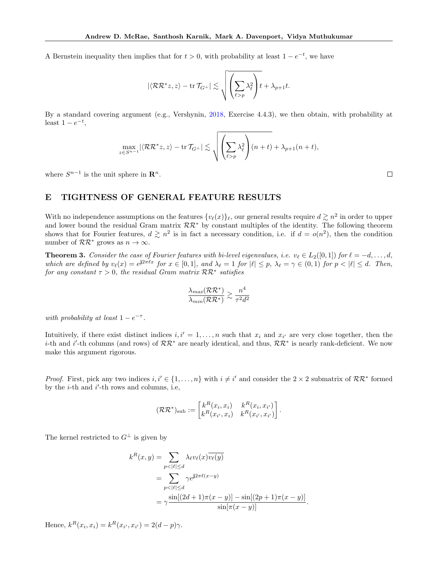A Bernstein inequality then implies that for  $t > 0$ , with probability at least  $1 - e^{-t}$ , we have

$$
|\langle \mathcal{RR}^*z,z\rangle-\operatorname{tr}\mathcal{T}_{G^\perp}|\lesssim \sqrt{\left(\sum_{\ell>p}\lambda_\ell^2\right)}t+\lambda_{p+1}t.
$$

By a standard covering argument (e.g., Vershynin, [2018,](#page-10-15) Exercise 4.4.3), we then obtain, with probability at least  $1 - e^{-t}$ ,

$$
\max_{z \in S^{n-1}} |\langle \mathcal{RR}^* z, z \rangle - \text{tr } \mathcal{T}_{G^\perp}| \lesssim \sqrt{\left(\sum_{\ell > p} \lambda_\ell^2\right) (n+t)} + \lambda_{p+1}(n+t),
$$

where  $S^{n-1}$  is the unit sphere in  $\mathbb{R}^n$ .

# <span id="page-18-0"></span>E TIGHTNESS OF GENERAL FEATURE RESULTS

With no independence assumptions on the features  $\{v_\ell(x)\}_\ell$ , our general results require  $d \gtrsim n^2$  in order to upper and lower bound the residual Gram matrix  $\mathcal{RR}^*$  by constant multiples of the identity. The following theorem shows that for Fourier features,  $d \geq n^2$  is in fact a necessary condition, i.e. if  $d = o(n^2)$ , then the condition number of  $\mathcal{RR}^*$  grows as  $n \to \infty$ .

**Theorem 3.** Consider the case of Fourier features with bi-level eigenvalues, i.e.  $v_{\ell} \in L_2([0, 1])$  for  $\ell = -d, \ldots, d$ , which are defined by  $v_{\ell}(x) = e^{j2\pi \ell x}$  for  $x \in [0, 1]$ , and  $\lambda_{\ell} = 1$  for  $|\ell| \leq p$ ,  $\lambda_{\ell} = \gamma \in (0, 1)$  for  $p < |\ell| \leq d$ . Then, for any constant  $\tau > 0$ , the residual Gram matrix  $\mathcal{RR}^*$  satisfies

$$
\frac{\lambda_{max}(\mathcal{RR}^*)}{\lambda_{min}(\mathcal{RR}^*)} \gtrsim \frac{n^4}{\tau^2 d^2}
$$

with probability at least  $1 - e^{-\tau}$ .

Intuitively, if there exist distinct indices  $i, i' = 1, ..., n$  such that  $x_i$  and  $x_{i'}$  are very close together, then the i-th and i'-th columns (and rows) of  $\mathcal{RR}^*$  are nearly identical, and thus,  $\mathcal{RR}^*$  is nearly rank-deficient. We now make this argument rigorous.

*Proof.* First, pick any two indices  $i, i' \in \{1, ..., n\}$  with  $i \neq i'$  and consider the  $2 \times 2$  submatrix of  $\mathcal{RR}^*$  formed by the  $i$ -th and  $i'$ -th rows and columns, i.e,

$$
(\mathcal{RR}^*)_{\text{sub}} := \begin{bmatrix} k^R(x_i, x_i) & k^R(x_i, x_{i'}) \\ k^R(x_{i'}, x_i) & k^R(x_{i'}, x_{i'}) \end{bmatrix}.
$$

The kernel restricted to  $G^{\perp}$  is given by

$$
k^{R}(x, y) = \sum_{p < |\ell| \le d} \lambda_{\ell} v_{\ell}(x) \overline{v_{\ell}(y)}
$$
\n
$$
= \sum_{p < |\ell| \le d} \gamma e^{j2\pi \ell(x-y)} \\
= \gamma \frac{\sin[(2d+1)\pi(x-y)] - \sin[(2p+1)\pi(x-y)]}{\sin[\pi(x-y)]}.
$$

Hence,  $k^R(x_i, x_i) = k^R(x_{i'}, x_{i'}) = 2(d - p)\gamma$ .

 $\Box$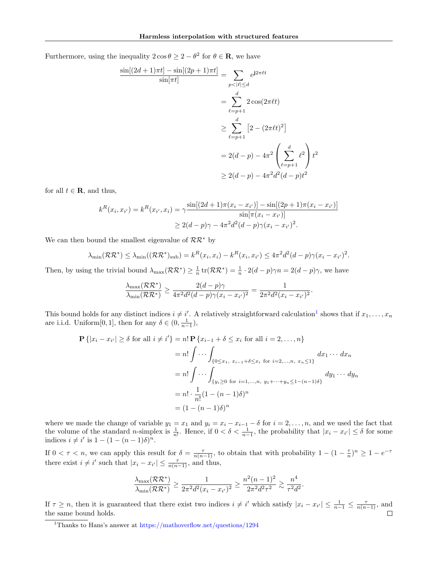Furthermore, using the inequality  $2 \cos \theta \geq 2 - \theta^2$  for  $\theta \in \mathbb{R}$ , we have

$$
\frac{\sin[(2d+1)\pi t] - \sin[(2p+1)\pi t]}{\sin[\pi t]}
$$
\n
$$
= \sum_{p < |\ell| \le d} e^{j2\pi \ell t}
$$
\n
$$
= \sum_{\ell=p+1}^{d} 2 \cos(2\pi \ell t)
$$
\n
$$
\ge \sum_{\ell=p+1}^{d} [2 - (2\pi \ell t)^2]
$$
\n
$$
= 2(d-p) - 4\pi^2 \left(\sum_{\ell=p+1}^{d} \ell^2\right) t^2
$$
\n
$$
\ge 2(d-p) - 4\pi^2 d^2(d-p) t^2
$$

for all  $t \in \mathbf{R}$ , and thus,

$$
k^{R}(x_{i}, x_{i'}) = k^{R}(x_{i'}, x_{i}) = \gamma \frac{\sin[(2d+1)\pi(x_{i} - x_{i'})] - \sin[(2p+1)\pi(x_{i} - x_{i'})]}{\sin[\pi(x_{i} - x_{i'})]}
$$
  
 
$$
\geq 2(d-p)\gamma - 4\pi^{2}d^{2}(d-p)\gamma(x_{i} - x_{i'})^{2}.
$$

We can then bound the smallest eigenvalue of  $\mathcal{RR}^*$  by

$$
\lambda_{\min}(\mathcal{RR}^*) \leq \lambda_{\min}((\mathcal{RR}^*)_{\text{sub}}) = k^R(x_i, x_i) - k^R(x_i, x_{i'}) \leq 4\pi^2 d^2(d-p)\gamma(x_i - x_{i'})^2.
$$

Then, by using the trivial bound  $\lambda_{\max}(\mathcal{RR}^*) \geq \frac{1}{n} \text{tr}(\mathcal{RR}^*) = \frac{1}{n} \cdot 2(d-p)\gamma n = 2(d-p)\gamma$ , we have

$$
\frac{\lambda_{\max}(\mathcal{RR}^*)}{\lambda_{\min}(\mathcal{RR}^*)} \ge \frac{2(d-p)\gamma}{4\pi^2d^2(d-p)\gamma(x_i-x_{i'})^2} = \frac{1}{2\pi^2d^2(x_i-x_{i'})^2}.
$$

This bound holds for any distinct indices  $i \neq i'$ . A relatively straightforward calculation<sup>[1](#page-19-0)</sup> shows that if  $x_1, \ldots, x_n$ are i.i.d. Uniform[0, 1], then for any  $\delta \in (0, \frac{1}{n-1})$ ,

$$
\mathbf{P}\{|x_i - x_{i'}| \geq \delta \text{ for all } i \neq i'\} = n! \mathbf{P}\{x_{i-1} + \delta \leq x_i \text{ for all } i = 2, ..., n\}
$$

$$
= n! \int \cdots \int_{\{0 \leq x_1, x_{i-1} + \delta \leq x_i \text{ for } i = 2, ..., n, x_n \leq 1\}} dx_1 \cdots dx_n
$$

$$
= n! \int \cdots \int_{\{y_i \geq 0 \text{ for } i = 1, ..., n, y_1 + \cdots + y_n \leq 1 - (n-1)\delta\}} dy_1 \cdots dy_n
$$

$$
= n! \cdot \frac{1}{n!} (1 - (n-1)\delta)^n
$$

$$
= (1 - (n-1)\delta)^n
$$

where we made the change of variable  $y_1 = x_1$  and  $y_i = x_i - x_{i-1} - \delta$  for  $i = 2, \ldots, n$ , and we used the fact that the volume of the standard *n*-simplex is  $\frac{1}{n!}$ . Hence, if  $0 < \delta < \frac{1}{n-1}$ , the probability that  $|x_i - x_{i'}| \leq \delta$  for some indices  $i \neq i'$  is  $1 - (1 - (n - 1)\delta)^n$ .

If  $0 < \tau < n$ , we can apply this result for  $\delta = \frac{\tau}{n(n-1)}$ , to obtain that with probability  $1 - (1 - \frac{\tau}{n})^n \geq 1 - e^{-\tau}$ there exist  $i \neq i'$  such that  $|x_i - x_{i'}| \leq \frac{\tau}{n(n-1)}$ , and thus,

$$
\frac{\lambda_{\max}(\mathcal{RR}^*)}{\lambda_{\min}(\mathcal{RR}^*)} \ge \frac{1}{2\pi^2 d^2 (x_i - x_{i'})^2} \ge \frac{n^2 (n-1)^2}{2\pi^2 d^2 \tau^2} \gtrsim \frac{n^4}{\tau^2 d^2}.
$$

If  $\tau \geq n$ , then it is guaranteed that there exist two indices  $i \neq i'$  which satisfy  $|x_i - x_{i'}| \leq \frac{1}{n-1} \leq \frac{\tau}{n(n-1)}$ , and the same bound holds.  $\Box$ 

<span id="page-19-0"></span><sup>1</sup>Thanks to Hans's answer at <https://mathoverflow.net/questions/1294>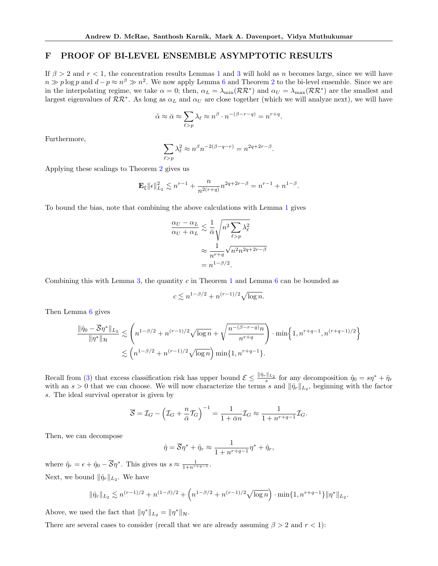# <span id="page-20-0"></span>F PROOF OF BI-LEVEL ENSEMBLE ASYMPTOTIC RESULTS

If  $\beta > 2$  and  $r < 1$  $r < 1$ , the concentration results Lemmas 1 and [3](#page-5-2) will hold as n becomes large, since we will have  $n \gg p \log p$  and  $d-p \approx n^{\beta} \gg n^2$  $d-p \approx n^{\beta} \gg n^2$ . We now apply Lemma [6](#page-7-1) and Theorem 2 to the bi-level ensemble. Since we are in the interpolating regime, we take  $\alpha = 0$ ; then,  $\alpha_L = \lambda_{\min}(\mathcal{RR}^*)$  and  $\alpha_U = \lambda_{\max}(\mathcal{RR}^*)$  are the smallest and largest eigenvalues of  $\mathcal{RR}^*$ . As long as  $\alpha_L$  and  $\alpha_U$  are close together (which we will analyze next), we will have

$$
\tilde{\alpha} \approx \bar{\alpha} \approx \sum_{\ell > p} \lambda_{\ell} \approx n^{\beta} \cdot n^{-(\beta - r - q)} = n^{r + q}.
$$

Furthermore,

$$
\sum_{\ell > p} \lambda_\ell^2 \approx n^\beta n^{-2(\beta - q - r)} = n^{2q + 2r - \beta}.
$$

Applying these scalings to Theorem [2](#page-4-1) gives us

$$
\mathbf{E}_{\xi} \|\epsilon\|_{L_2}^2 \lesssim n^{r-1} + \frac{n}{n^{2(r+q)}} n^{2q+2r-\beta} = n^{r-1} + n^{1-\beta}.
$$

To bound the bias, note that combining the above calculations with Lemma [1](#page-4-3) gives

$$
\frac{\alpha_U - \alpha_L}{\alpha_U + \alpha_L} \lesssim \frac{1}{\bar{\alpha}} \sqrt{n^2 \sum_{\ell > p} \lambda_\ell^2}
$$
\n
$$
\approx \frac{1}{n^{r+q}} \sqrt{n^2 n^{2q+2r-\beta}}
$$
\n
$$
= n^{1-\beta/2}.
$$

Combining this with Lemma [3,](#page-5-2) the quantity c in Theorem [1](#page-3-1) and Lemma  $6$  can be bounded as

$$
c \lesssim n^{1-\beta/2} + n^{(r-1)/2} \sqrt{\log n}.
$$

Then Lemma [6](#page-7-1) gives

$$
\frac{\|\hat{\eta}_0 - \overline{S}\eta^*\|_{L_2}}{\|\eta^*\|_{\mathcal{H}}} \lesssim \left(n^{1-\beta/2} + n^{(r-1)/2}\sqrt{\log n} + \sqrt{\frac{n^{-(\beta-r-q)}n}{n^{r+q}}}\right) \cdot \min\left\{1, n^{r+q-1}, n^{(r+q-1)/2}\right\}
$$

$$
\lesssim \left(n^{1-\beta/2} + n^{(r-1)/2}\sqrt{\log n}\right) \min\{1, n^{r+q-1}\}.
$$

Recall from [\(3\)](#page-6-2) that excess classification risk has upper bound  $\mathcal{E} \leq \frac{\|\hat{\eta}_r\|_{L_2}}{s}$  for any decomposition  $\hat{\eta}_0 = s\eta^* + \hat{\eta}_r$ with an  $s > 0$  that we can choose. We will now characterize the terms s and  $\|\hat{\eta}_r\|_{L_2}$ , beginning with the factor s. The ideal survival operator is given by

$$
\overline{S} = \mathcal{I}_G - \left(\mathcal{I}_G + \frac{n}{\bar{\alpha}}\mathcal{T}_G\right)^{-1} = \frac{1}{1+\bar{\alpha}n}\mathcal{I}_G \approx \frac{1}{1+n^{r+q-1}}\mathcal{I}_G.
$$

Then, we can decompose

$$
\hat{\eta} = \overline{\mathcal{S}} \eta^* + \hat{\eta}_r \approx \frac{1}{1 + n^{r+q-1}} \eta^* + \hat{\eta}_r,
$$

where  $\hat{\eta}_r = \epsilon + \hat{\eta}_0 - \overline{\mathcal{S}} \eta^*$ . This gives us  $s \approx \frac{1}{1 + n^{r+q-1}}$ . Next, we bound  $\|\hat{\eta}_r\|_{L_2}$ . We have

$$
\|\hat{\eta}_r\|_{L_2} \lesssim n^{(r-1)/2} + n^{(1-\beta)/2} + \left(n^{1-\beta/2} + n^{(r-1)/2}\sqrt{\log n}\right) \cdot \min\{1, n^{r+q-1}\}\|\eta^*\|_{L_2}.
$$

Above, we used the fact that  $\|\eta^*\|_{L_2} = \|\eta^*\|_{\mathcal{H}}$ .

There are several cases to consider (recall that we are already assuming  $\beta > 2$  and  $r < 1$ ):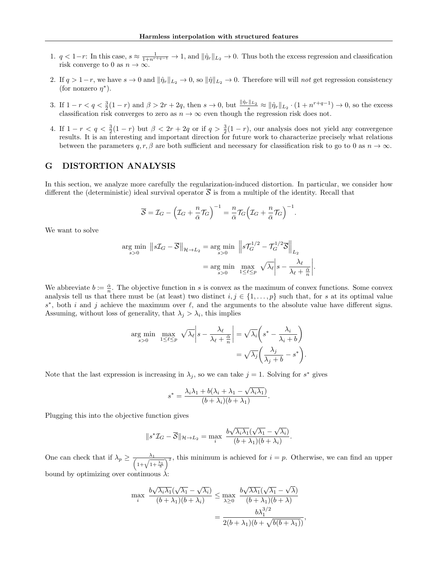- 1.  $q < 1-r$ : In this case,  $s \approx \frac{1}{1+n^{r+q-1}} \to 1$ , and  $\|\hat{\eta}_r\|_{L_2} \to 0$ . Thus both the excess regression and classification risk converge to 0 as  $n \to \infty$ .
- 2. If  $q > 1-r$ , we have  $s \to 0$  and  $\|\hat{\eta}_r\|_{L_2} \to 0$ , so  $\|\hat{\eta}\|_{L_2} \to 0$ . Therefore will will not get regression consistency (for nonzero  $\eta^*$ ).
- 3. If  $1 r < q < \frac{3}{2}(1 r)$  and  $\beta > 2r + 2q$ , then  $s \to 0$ , but  $\frac{\|\hat{\eta}_r\|_{L_2}}{s} \approx \|\hat{\eta}_r\|_{L_2} \cdot (1 + n^{r+q-1}) \to 0$ , so the excess classification risk converges to zero as  $n \to \infty$  even though the regression risk does not.
- 4. If  $1 r < q < \frac{3}{2}(1 r)$  but  $\beta < 2r + 2q$  or if  $q > \frac{3}{2}(1 r)$ , our analysis does not yield any convergence results. It is an interesting and important direction for future work to characterize precisely what relations between the parameters  $q, r, \beta$  are both sufficient and necessary for classification risk to go to 0 as  $n \to \infty$ .

# <span id="page-21-0"></span>G DISTORTION ANALYSIS

In this section, we analyze more carefully the regularization-induced distortion. In particular, we consider how different the (deterministic) ideal survival operator  $\overline{S}$  is from a multiple of the identity. Recall that

$$
\overline{S} = \mathcal{I}_G - \left(\mathcal{I}_G + \frac{n}{\bar{\alpha}}\mathcal{T}_G\right)^{-1} = \frac{n}{\bar{\alpha}}\mathcal{T}_G\left(\mathcal{I}_G + \frac{n}{\bar{\alpha}}\mathcal{T}_G\right)^{-1}.
$$

We want to solve

$$
\arg\min_{s>0} \|s\mathcal{I}_G - \overline{\mathcal{S}}\|_{\mathcal{H}\to L_2} = \arg\min_{s>0} \|s\mathcal{T}_G^{1/2} - \mathcal{T}_G^{1/2}\overline{\mathcal{S}}\|_{L_2}
$$

$$
= \arg\min_{s>0} \max_{1 \le \ell \le p} \sqrt{\lambda_\ell} \left|s - \frac{\lambda_\ell}{\lambda_\ell + \frac{\overline{\alpha}}{n}}\right|.
$$

We abbreviate  $b := \frac{\bar{\alpha}}{n}$ . The objective function in s is convex as the maximum of convex functions. Some convex analysis tell us that there must be (at least) two distinct  $i, j \in \{1, \ldots, p\}$  such that, for s at its optimal value  $s^*$ , both i and j achieve the maximum over  $\ell$ , and the arguments to the absolute value have different signs. Assuming, without loss of generality, that  $\lambda_j > \lambda_i$ , this implies

$$
\arg\min_{s>0} \max_{1\leq\ell\leq p} \sqrt{\lambda_{\ell}} \left| s - \frac{\lambda_{\ell}}{\lambda_{\ell} + \frac{\bar{\alpha}}{n}} \right| = \sqrt{\lambda_{i}} \left( s^{*} - \frac{\lambda_{i}}{\lambda_{i} + b} \right)
$$

$$
= \sqrt{\lambda_{j}} \left( \frac{\lambda_{j}}{\lambda_{j} + b} - s^{*} \right).
$$

Note that the last expression is increasing in  $\lambda_j$ , so we can take  $j = 1$ . Solving for  $s^*$  gives

$$
s^* = \frac{\lambda_i \lambda_1 + b(\lambda_i + \lambda_1 - \sqrt{\lambda_i \lambda_1})}{(b + \lambda_i)(b + \lambda_1)}.
$$

Plugging this into the objective function gives

$$
||s^*\mathcal{I}_G - \overline{\mathcal{S}}||_{\mathcal{H}\to L_2} = \max_i \frac{b\sqrt{\lambda_i\lambda_1}(\sqrt{\lambda_1} - \sqrt{\lambda_i})}{(b+\lambda_1)(b+\lambda_i)}.
$$

One can check that if  $\lambda_p \geq \frac{\lambda_1}{\sqrt{1-\lambda_1}}$  $\frac{\lambda_1}{1+\sqrt{1+\frac{\lambda_1}{b}}}$ , this minimum is achieved for  $i = p$ . Otherwise, we can find an upper bound by optimizing over continuous  $\lambda$ :

$$
\max_{i} \frac{b\sqrt{\lambda_i\lambda_1}(\sqrt{\lambda_1}-\sqrt{\lambda_i})}{(b+\lambda_1)(b+\lambda_i)} \le \max_{\lambda\ge 0} \frac{b\sqrt{\lambda\lambda_1}(\sqrt{\lambda_1}-\sqrt{\lambda})}{(b+\lambda_1)(b+\lambda)}
$$

$$
= \frac{b\lambda_1^{3/2}}{2(b+\lambda_1)(b+\sqrt{b(b+\lambda_1)})},
$$